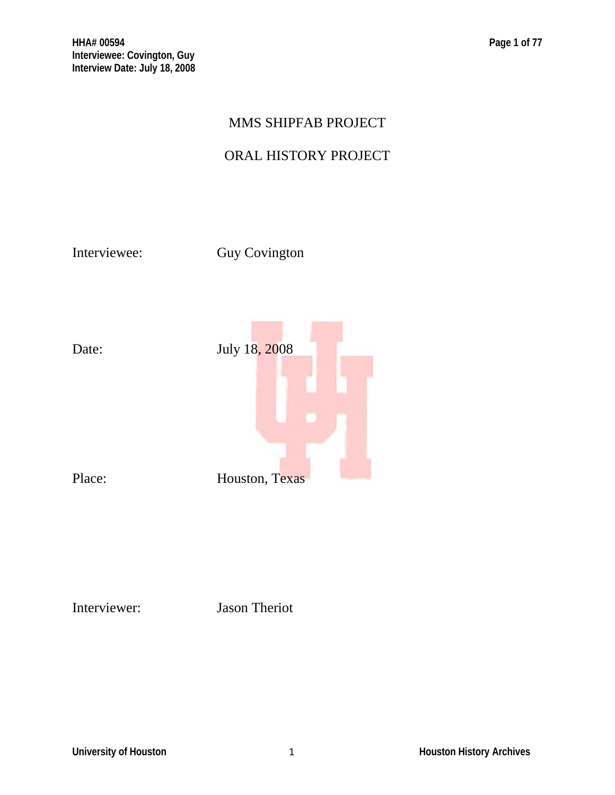# MMS SHIPFAB PROJECT

# ORAL HISTORY PROJECT

Interviewee: Guy Covington



Interviewer: Jason Theriot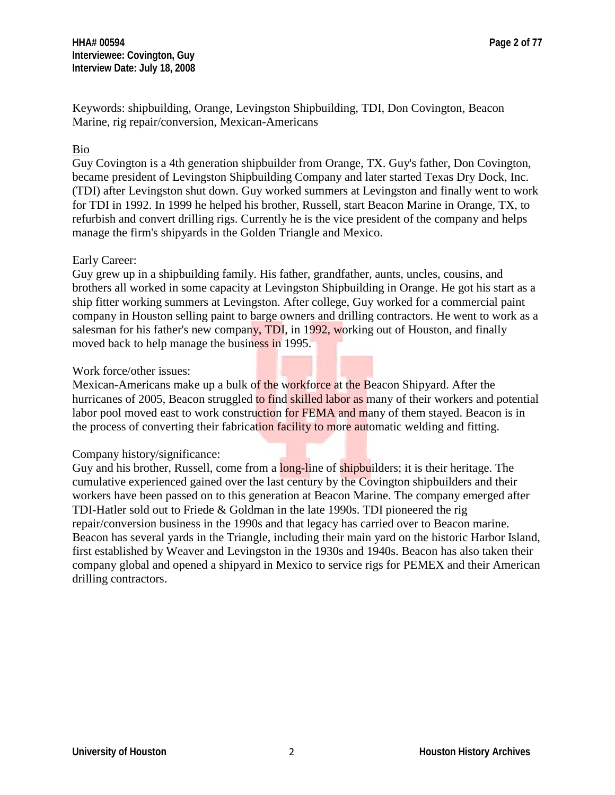Keywords: shipbuilding, Orange, Levingston Shipbuilding, TDI, Don Covington, Beacon Marine, rig repair/conversion, Mexican-Americans

## Bio

Guy Covington is a 4th generation shipbuilder from Orange, TX. Guy's father, Don Covington, became president of Levingston Shipbuilding Company and later started Texas Dry Dock, Inc. (TDI) after Levingston shut down. Guy worked summers at Levingston and finally went to work for TDI in 1992. In 1999 he helped his brother, Russell, start Beacon Marine in Orange, TX, to refurbish and convert drilling rigs. Currently he is the vice president of the company and helps manage the firm's shipyards in the Golden Triangle and Mexico.

### Early Career:

Guy grew up in a shipbuilding family. His father, grandfather, aunts, uncles, cousins, and brothers all worked in some capacity at Levingston Shipbuilding in Orange. He got his start as a ship fitter working summers at Levingston. After college, Guy worked for a commercial paint company in Houston selling paint to barge owners and drilling contractors. He went to work as a salesman for his father's new company, TDI, in 1992, working out of Houston, and finally moved back to help manage the business in 1995.

## Work force/other issues:

Mexican-Americans make up a bulk of the workforce at the Beacon Shipyard. After the hurricanes of 2005, Beacon struggled to find skilled labor as many of their workers and potential labor pool moved east to work construction for FEMA and many of them stayed. Beacon is in the process of converting their fabrication facility to more automatic welding and fitting.

### Company history/significance:

Guy and his brother, Russell, come from a long-line of shipbuilders; it is their heritage. The cumulative experienced gained over the last century by the Covington shipbuilders and their workers have been passed on to this generation at Beacon Marine. The company emerged after TDI-Hatler sold out to Friede & Goldman in the late 1990s. TDI pioneered the rig repair/conversion business in the 1990s and that legacy has carried over to Beacon marine. Beacon has several yards in the Triangle, including their main yard on the historic Harbor Island, first established by Weaver and Levingston in the 1930s and 1940s. Beacon has also taken their company global and opened a shipyard in Mexico to service rigs for PEMEX and their American drilling contractors.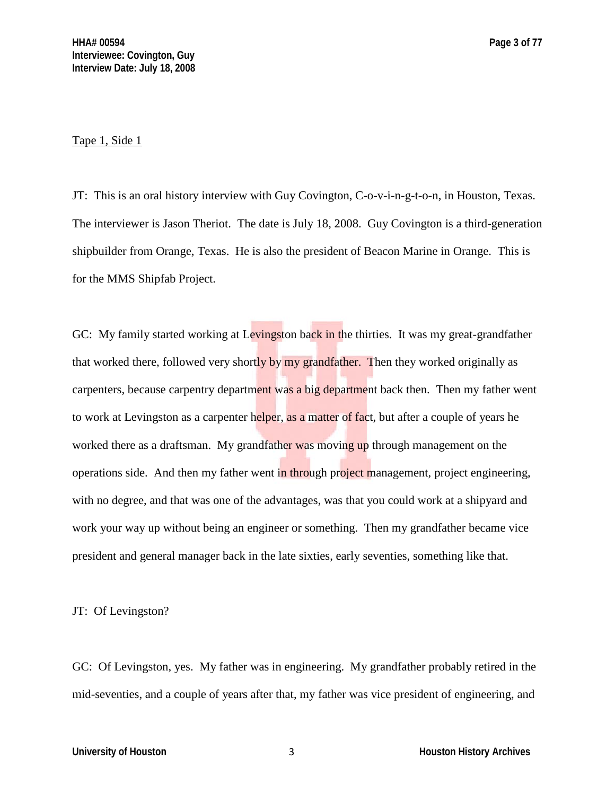#### Tape 1, Side 1

JT: This is an oral history interview with Guy Covington, C-o-v-i-n-g-t-o-n, in Houston, Texas. The interviewer is Jason Theriot. The date is July 18, 2008. Guy Covington is a third-generation shipbuilder from Orange, Texas. He is also the president of Beacon Marine in Orange. This is for the MMS Shipfab Project.

GC: My family started working at Levingston back in the thirties. It was my great-grandfather that worked there, followed very shortly by my grandfather. Then they worked originally as carpenters, because carpentry department was a big department back then. Then my father went to work at Levingston as a carpenter helper, as a matter of fact, but after a couple of years he worked there as a draftsman. My grandfather was moving up through management on the operations side. And then my father went in through project management, project engineering, with no degree, and that was one of the advantages, was that you could work at a shipyard and work your way up without being an engineer or something. Then my grandfather became vice president and general manager back in the late sixties, early seventies, something like that.

#### JT: Of Levingston?

GC: Of Levingston, yes. My father was in engineering. My grandfather probably retired in the mid-seventies, and a couple of years after that, my father was vice president of engineering, and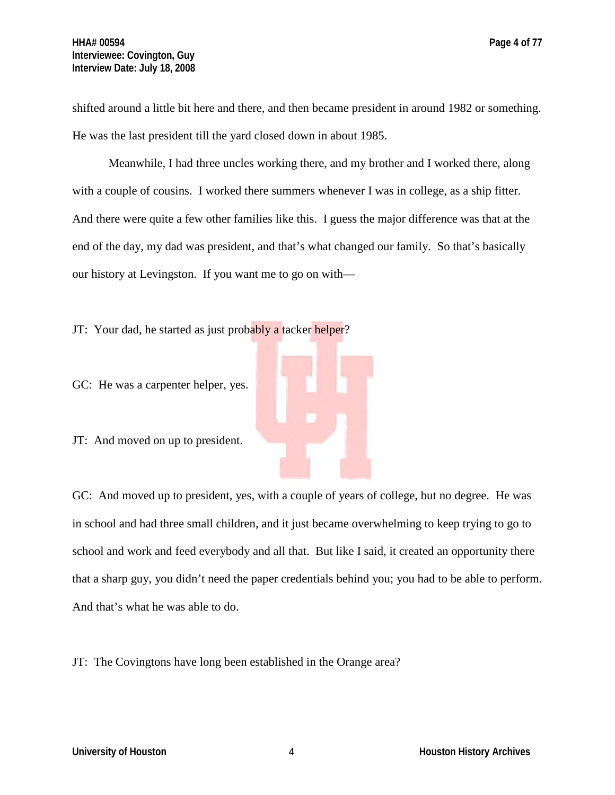shifted around a little bit here and there, and then became president in around 1982 or something. He was the last president till the yard closed down in about 1985.

Meanwhile, I had three uncles working there, and my brother and I worked there, along with a couple of cousins. I worked there summers whenever I was in college, as a ship fitter. And there were quite a few other families like this. I guess the major difference was that at the end of the day, my dad was president, and that's what changed our family. So that's basically our history at Levingston. If you want me to go on with—

JT: Your dad, he started as just probably a tacker helper?

GC: He was a carpenter helper, yes.

JT: And moved on up to president.

GC: And moved up to president, yes, with a couple of years of college, but no degree. He was in school and had three small children, and it just became overwhelming to keep trying to go to school and work and feed everybody and all that. But like I said, it created an opportunity there that a sharp guy, you didn't need the paper credentials behind you; you had to be able to perform. And that's what he was able to do.

JT: The Covingtons have long been established in the Orange area?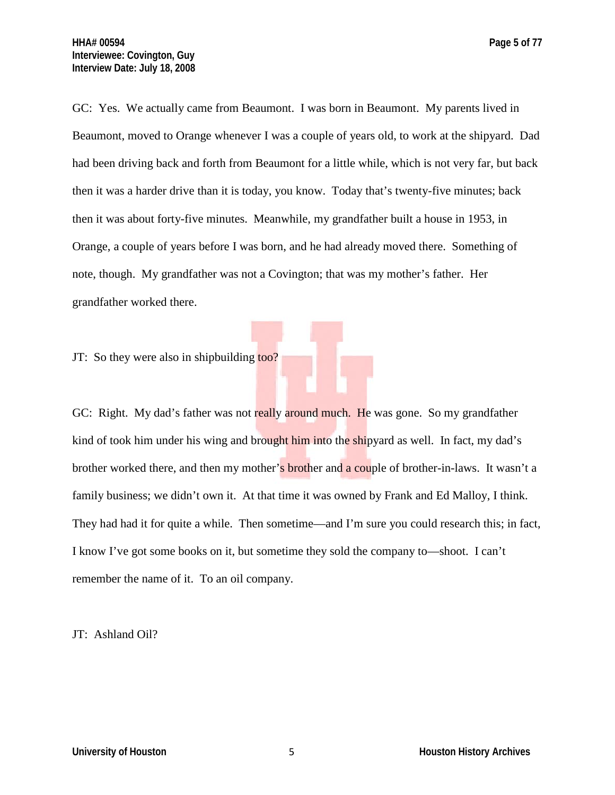GC: Yes. We actually came from Beaumont. I was born in Beaumont. My parents lived in Beaumont, moved to Orange whenever I was a couple of years old, to work at the shipyard. Dad had been driving back and forth from Beaumont for a little while, which is not very far, but back then it was a harder drive than it is today, you know. Today that's twenty-five minutes; back then it was about forty-five minutes. Meanwhile, my grandfather built a house in 1953, in Orange, a couple of years before I was born, and he had already moved there. Something of note, though. My grandfather was not a Covington; that was my mother's father. Her grandfather worked there.

JT: So they were also in shipbuilding too?

GC: Right. My dad's father was not really around much. He was gone. So my grandfather kind of took him under his wing and brought him into the shipyard as well. In fact, my dad's brother worked there, and then my mother's **brother and a couple of brother-in-laws**. It wasn't a family business; we didn't own it. At that time it was owned by Frank and Ed Malloy, I think. They had had it for quite a while. Then sometime—and I'm sure you could research this; in fact, I know I've got some books on it, but sometime they sold the company to—shoot. I can't remember the name of it. To an oil company.

JT: Ashland Oil?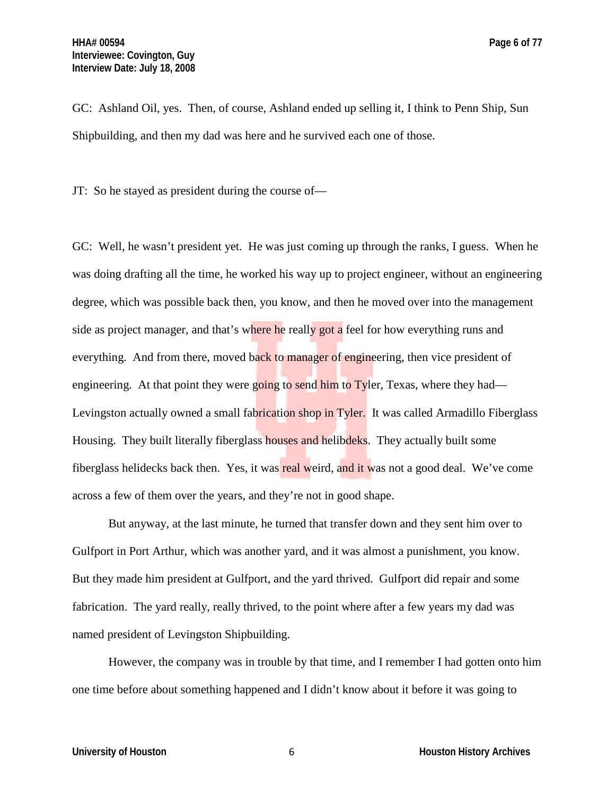GC: Ashland Oil, yes. Then, of course, Ashland ended up selling it, I think to Penn Ship, Sun Shipbuilding, and then my dad was here and he survived each one of those.

JT: So he stayed as president during the course of—

GC: Well, he wasn't president yet. He was just coming up through the ranks, I guess. When he was doing drafting all the time, he worked his way up to project engineer, without an engineering degree, which was possible back then, you know, and then he moved over into the management side as project manager, and that's where he really got a feel for how everything runs and everything. And from there, moved back to manager of engineering, then vice president of engineering. At that point they were going to send him to Tyler, Texas, where they had— Levingston actually owned a small fabrication shop in Tyler. It was called Armadillo Fiberglass Housing. They built literally fiberglass houses and helibdeks. They actually built some fiberglass helidecks back then. Yes, it was real weird, and it was not a good deal. We've come across a few of them over the years, and they're not in good shape.

But anyway, at the last minute, he turned that transfer down and they sent him over to Gulfport in Port Arthur, which was another yard, and it was almost a punishment, you know. But they made him president at Gulfport, and the yard thrived. Gulfport did repair and some fabrication. The yard really, really thrived, to the point where after a few years my dad was named president of Levingston Shipbuilding.

However, the company was in trouble by that time, and I remember I had gotten onto him one time before about something happened and I didn't know about it before it was going to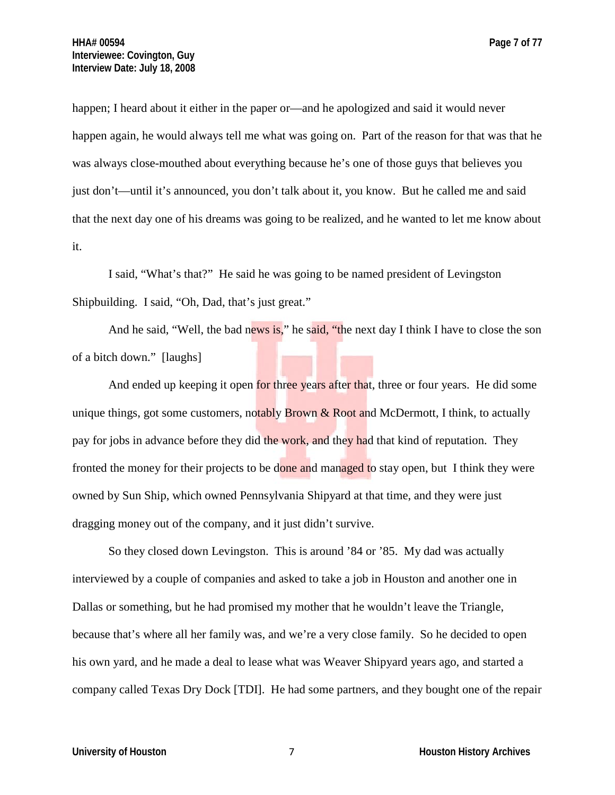happen; I heard about it either in the paper or—and he apologized and said it would never happen again, he would always tell me what was going on. Part of the reason for that was that he was always close-mouthed about everything because he's one of those guys that believes you just don't—until it's announced, you don't talk about it, you know. But he called me and said that the next day one of his dreams was going to be realized, and he wanted to let me know about it.

I said, "What's that?" He said he was going to be named president of Levingston Shipbuilding. I said, "Oh, Dad, that's just great."

And he said, "Well, the bad news is," he said, "the next day I think I have to close the son of a bitch down." [laughs]

And ended up keeping it open for three years after that, three or four years. He did some unique things, got some customers, notably Brown  $\&$  Root and McDermott, I think, to actually pay for jobs in advance before they did the work, and they had that kind of reputation. They fronted the money for their projects to be done and managed to stay open, but I think they were owned by Sun Ship, which owned Pennsylvania Shipyard at that time, and they were just dragging money out of the company, and it just didn't survive.

So they closed down Levingston. This is around '84 or '85. My dad was actually interviewed by a couple of companies and asked to take a job in Houston and another one in Dallas or something, but he had promised my mother that he wouldn't leave the Triangle, because that's where all her family was, and we're a very close family. So he decided to open his own yard, and he made a deal to lease what was Weaver Shipyard years ago, and started a company called Texas Dry Dock [TDI]. He had some partners, and they bought one of the repair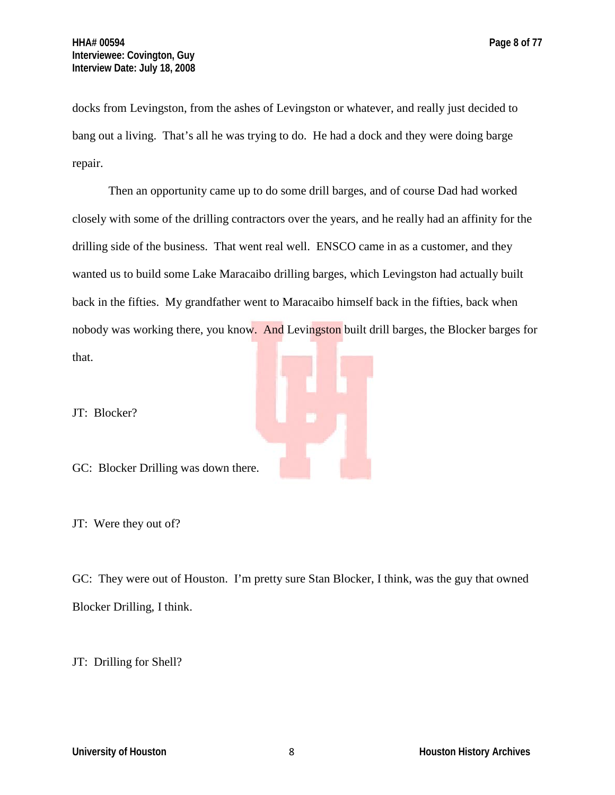docks from Levingston, from the ashes of Levingston or whatever, and really just decided to bang out a living. That's all he was trying to do. He had a dock and they were doing barge repair.

Then an opportunity came up to do some drill barges, and of course Dad had worked closely with some of the drilling contractors over the years, and he really had an affinity for the drilling side of the business. That went real well. ENSCO came in as a customer, and they wanted us to build some Lake Maracaibo drilling barges, which Levingston had actually built back in the fifties. My grandfather went to Maracaibo himself back in the fifties, back when nobody was working there, you know. And Levingston built drill barges, the Blocker barges for that.

JT: Blocker?

GC: Blocker Drilling was down there.

JT: Were they out of?

GC: They were out of Houston. I'm pretty sure Stan Blocker, I think, was the guy that owned Blocker Drilling, I think.

JT: Drilling for Shell?

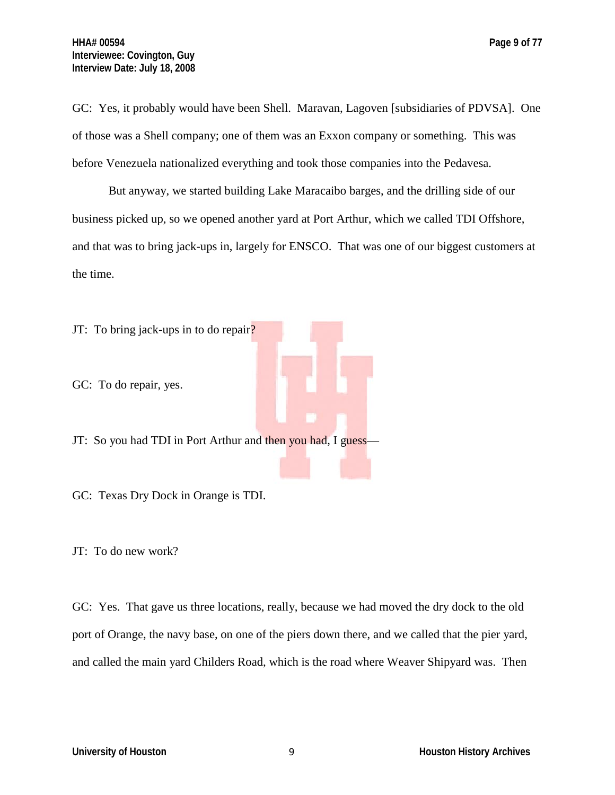GC: Yes, it probably would have been Shell. Maravan, Lagoven [subsidiaries of PDVSA]. One of those was a Shell company; one of them was an Exxon company or something. This was before Venezuela nationalized everything and took those companies into the Pedavesa.

But anyway, we started building Lake Maracaibo barges, and the drilling side of our business picked up, so we opened another yard at Port Arthur, which we called TDI Offshore, and that was to bring jack-ups in, largely for ENSCO. That was one of our biggest customers at the time.



JT: To do new work?

GC: Yes. That gave us three locations, really, because we had moved the dry dock to the old port of Orange, the navy base, on one of the piers down there, and we called that the pier yard, and called the main yard Childers Road, which is the road where Weaver Shipyard was. Then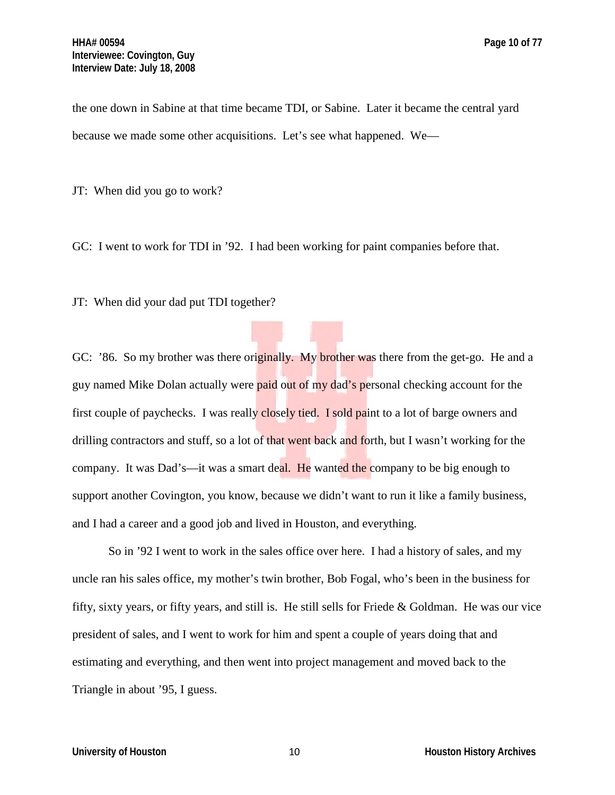the one down in Sabine at that time became TDI, or Sabine. Later it became the central yard because we made some other acquisitions. Let's see what happened. We—

JT: When did you go to work?

GC: I went to work for TDI in '92. I had been working for paint companies before that.

JT: When did your dad put TDI together?

GC: '86. So my brother was there originally. My brother was there from the get-go. He and a guy named Mike Dolan actually were paid out of my dad's personal checking account for the first couple of paychecks. I was really closely tied. I sold paint to a lot of barge owners and drilling contractors and stuff, so a lot of that went back and forth, but I wasn't working for the company. It was Dad's—it was a smart deal. He wanted the company to be big enough to support another Covington, you know, because we didn't want to run it like a family business, and I had a career and a good job and lived in Houston, and everything.

So in '92 I went to work in the sales office over here. I had a history of sales, and my uncle ran his sales office, my mother's twin brother, Bob Fogal, who's been in the business for fifty, sixty years, or fifty years, and still is. He still sells for Friede & Goldman. He was our vice president of sales, and I went to work for him and spent a couple of years doing that and estimating and everything, and then went into project management and moved back to the Triangle in about '95, I guess.

**University of Houston** 10 **Houston** 10 **Houston History Archives**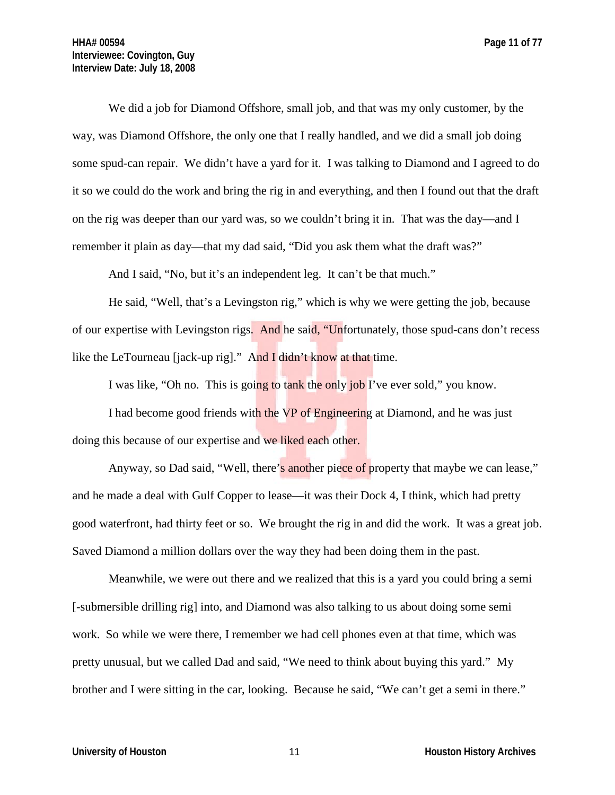We did a job for Diamond Offshore, small job, and that was my only customer, by the way, was Diamond Offshore, the only one that I really handled, and we did a small job doing some spud-can repair. We didn't have a yard for it. I was talking to Diamond and I agreed to do it so we could do the work and bring the rig in and everything, and then I found out that the draft on the rig was deeper than our yard was, so we couldn't bring it in. That was the day—and I remember it plain as day—that my dad said, "Did you ask them what the draft was?"

And I said, "No, but it's an independent leg. It can't be that much."

He said, "Well, that's a Levingston rig," which is why we were getting the job, because of our expertise with Levingston rigs. And he said, "Unfortunately, those spud-cans don't recess like the LeTourneau [jack-up rig]." And I didn't know at that time.

I was like, "Oh no. This is going to tank the only job I've ever sold," you know.

I had become good friends with the VP of Engineering at Diamond, and he was just doing this because of our expertise and we liked each other.

Anyway, so Dad said, "Well, there's another piece of property that maybe we can lease," and he made a deal with Gulf Copper to lease—it was their Dock 4, I think, which had pretty good waterfront, had thirty feet or so. We brought the rig in and did the work. It was a great job. Saved Diamond a million dollars over the way they had been doing them in the past.

Meanwhile, we were out there and we realized that this is a yard you could bring a semi [-submersible drilling rig] into, and Diamond was also talking to us about doing some semi work. So while we were there, I remember we had cell phones even at that time, which was pretty unusual, but we called Dad and said, "We need to think about buying this yard." My brother and I were sitting in the car, looking. Because he said, "We can't get a semi in there."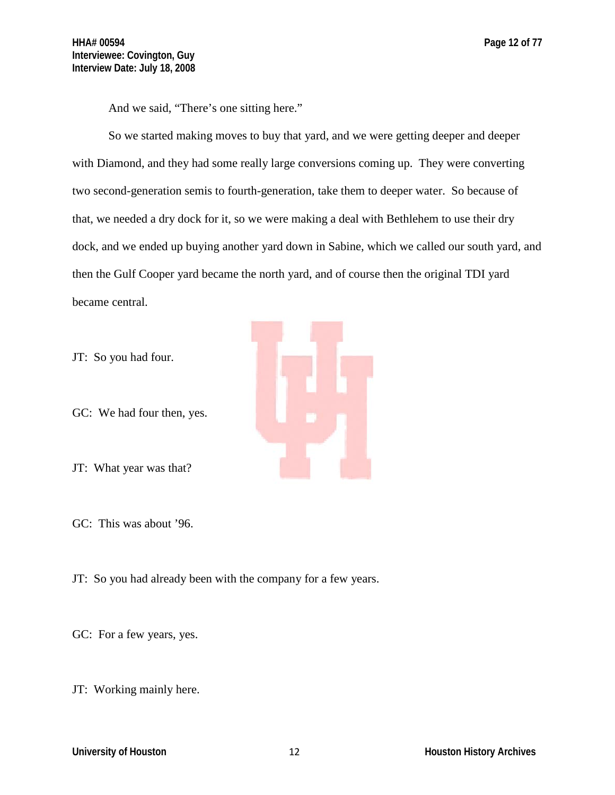And we said, "There's one sitting here."

So we started making moves to buy that yard, and we were getting deeper and deeper with Diamond, and they had some really large conversions coming up. They were converting two second-generation semis to fourth-generation, take them to deeper water. So because of that, we needed a dry dock for it, so we were making a deal with Bethlehem to use their dry dock, and we ended up buying another yard down in Sabine, which we called our south yard, and then the Gulf Cooper yard became the north yard, and of course then the original TDI yard became central.

JT: So you had four.

GC: We had four then, yes.

JT: What year was that?

GC: This was about '96.

JT: So you had already been with the company for a few years.

GC: For a few years, yes.

JT: Working mainly here.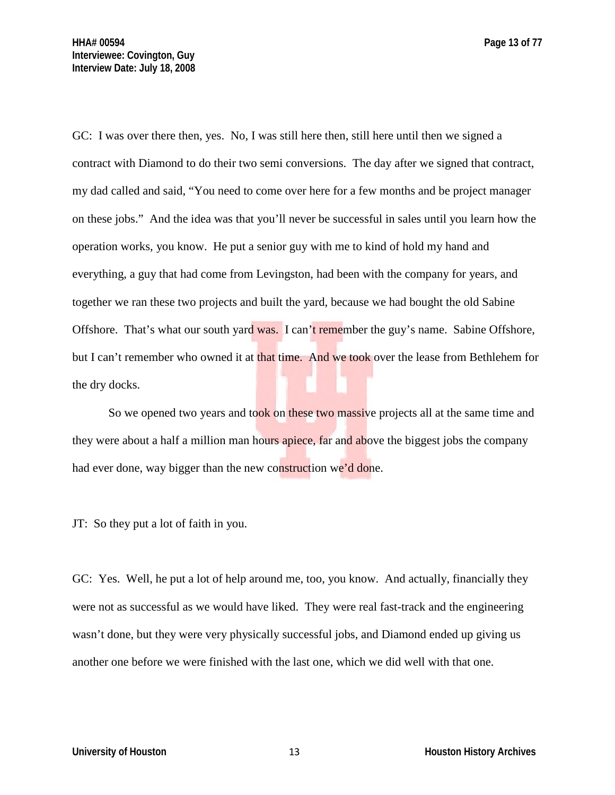GC: I was over there then, yes. No, I was still here then, still here until then we signed a contract with Diamond to do their two semi conversions. The day after we signed that contract, my dad called and said, "You need to come over here for a few months and be project manager on these jobs." And the idea was that you'll never be successful in sales until you learn how the operation works, you know. He put a senior guy with me to kind of hold my hand and everything, a guy that had come from Levingston, had been with the company for years, and together we ran these two projects and built the yard, because we had bought the old Sabine Offshore. That's what our south yard was. I can't remember the guy's name. Sabine Offshore, but I can't remember who owned it at that time. And we took over the lease from Bethlehem for the dry docks.

So we opened two years and took on these two massive projects all at the same time and they were about a half a million man hours apiece, far and above the biggest jobs the company had ever done, way bigger than the new construction we'd done.

JT: So they put a lot of faith in you.

GC: Yes. Well, he put a lot of help around me, too, you know. And actually, financially they were not as successful as we would have liked. They were real fast-track and the engineering wasn't done, but they were very physically successful jobs, and Diamond ended up giving us another one before we were finished with the last one, which we did well with that one.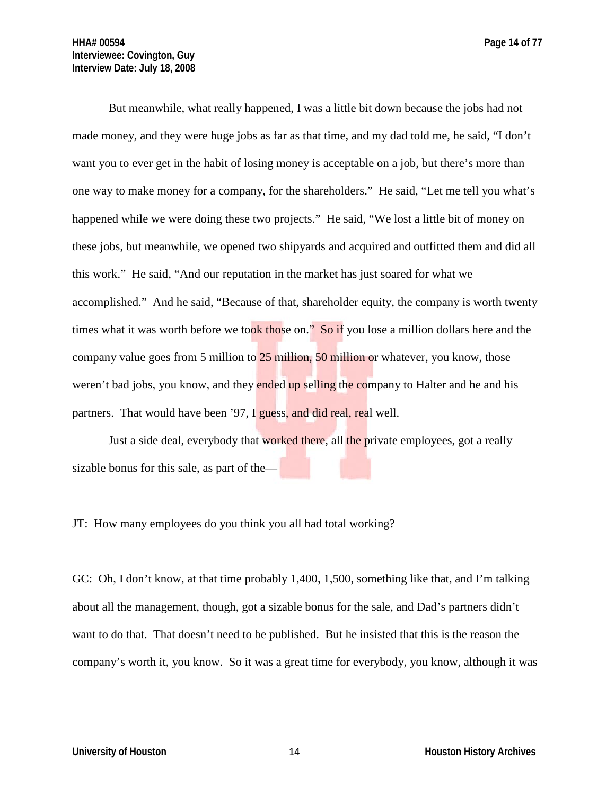But meanwhile, what really happened, I was a little bit down because the jobs had not made money, and they were huge jobs as far as that time, and my dad told me, he said, "I don't want you to ever get in the habit of losing money is acceptable on a job, but there's more than one way to make money for a company, for the shareholders." He said, "Let me tell you what's happened while we were doing these two projects." He said, "We lost a little bit of money on these jobs, but meanwhile, we opened two shipyards and acquired and outfitted them and did all this work." He said, "And our reputation in the market has just soared for what we accomplished." And he said, "Because of that, shareholder equity, the company is worth twenty times what it was worth before we took those on." So if you lose a million dollars here and the company value goes from 5 million to  $25$  million, 50 million or whatever, you know, those weren't bad jobs, you know, and they ended up selling the company to Halter and he and his partners. That would have been '97, I guess, and did real, real well.

Just a side deal, everybody that worked there, all the private employees, got a really sizable bonus for this sale, as part of the—

JT: How many employees do you think you all had total working?

GC: Oh, I don't know, at that time probably 1,400, 1,500, something like that, and I'm talking about all the management, though, got a sizable bonus for the sale, and Dad's partners didn't want to do that. That doesn't need to be published. But he insisted that this is the reason the company's worth it, you know. So it was a great time for everybody, you know, although it was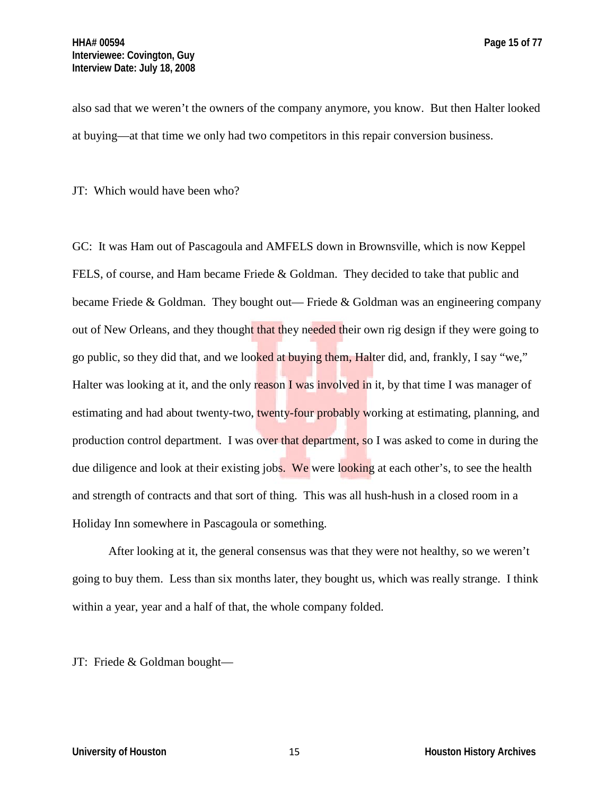also sad that we weren't the owners of the company anymore, you know. But then Halter looked at buying—at that time we only had two competitors in this repair conversion business.

JT: Which would have been who?

GC: It was Ham out of Pascagoula and AMFELS down in Brownsville, which is now Keppel FELS, of course, and Ham became Friede & Goldman. They decided to take that public and became Friede & Goldman. They bought out— Friede & Goldman was an engineering company out of New Orleans, and they thought that they needed their own rig design if they were going to go public, so they did that, and we looked at buying them, Halter did, and, frankly, I say "we," Halter was looking at it, and the only reason I was involved in it, by that time I was manager of estimating and had about twenty-two, twenty-four probably working at estimating, planning, and production control department. I was over that department, so I was asked to come in during the due diligence and look at their existing jobs. We were looking at each other's, to see the health and strength of contracts and that sort of thing. This was all hush-hush in a closed room in a Holiday Inn somewhere in Pascagoula or something.

After looking at it, the general consensus was that they were not healthy, so we weren't going to buy them. Less than six months later, they bought us, which was really strange. I think within a year, year and a half of that, the whole company folded.

JT: Friede & Goldman bought—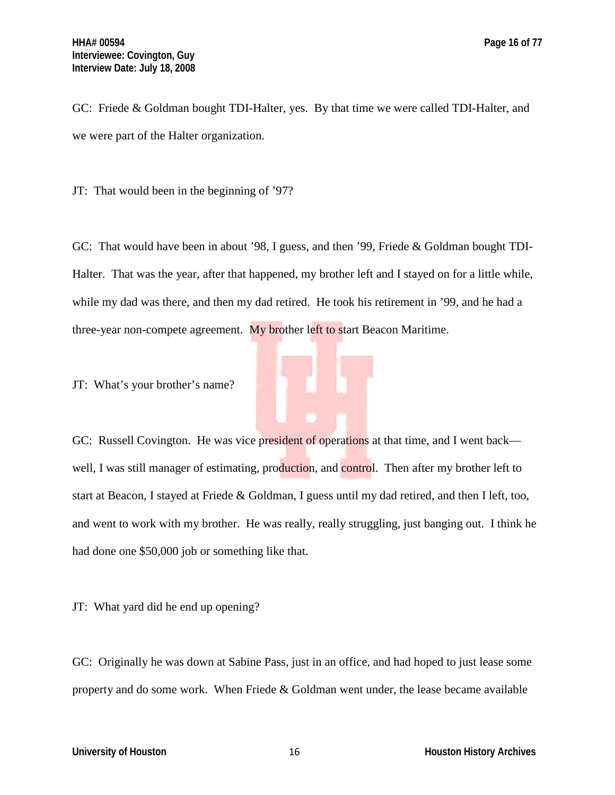GC: Friede & Goldman bought TDI-Halter, yes. By that time we were called TDI-Halter, and we were part of the Halter organization.

JT: That would been in the beginning of '97?

GC: That would have been in about '98, I guess, and then '99, Friede & Goldman bought TDI-Halter. That was the year, after that happened, my brother left and I stayed on for a little while, while my dad was there, and then my dad retired. He took his retirement in '99, and he had a three-year non-compete agreement. My brother left to start Beacon Maritime.

JT: What's your brother's name?

GC: Russell Covington. He was vice president of operations at that time, and I went back well, I was still manager of estimating, production, and control. Then after my brother left to start at Beacon, I stayed at Friede & Goldman, I guess until my dad retired, and then I left, too, and went to work with my brother. He was really, really struggling, just banging out. I think he had done one \$50,000 job or something like that.

JT: What yard did he end up opening?

GC: Originally he was down at Sabine Pass, just in an office, and had hoped to just lease some property and do some work. When Friede & Goldman went under, the lease became available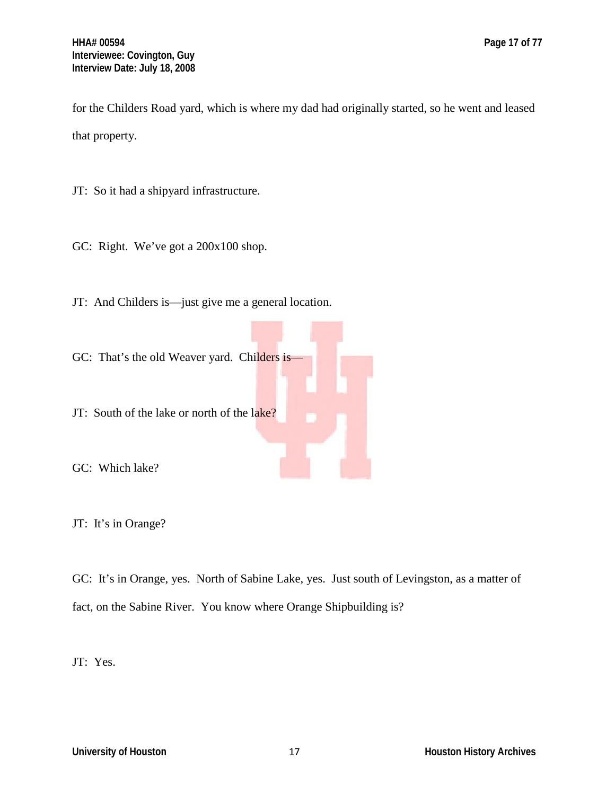for the Childers Road yard, which is where my dad had originally started, so he went and leased that property.

JT: So it had a shipyard infrastructure.

GC: Right. We've got a 200x100 shop.

JT: And Childers is—just give me a general location.

GC: That's the old Weaver yard. Childers is-

JT: South of the lake or north of the lake?

GC: Which lake?

JT: It's in Orange?

GC: It's in Orange, yes. North of Sabine Lake, yes. Just south of Levingston, as a matter of fact, on the Sabine River. You know where Orange Shipbuilding is?

JT: Yes.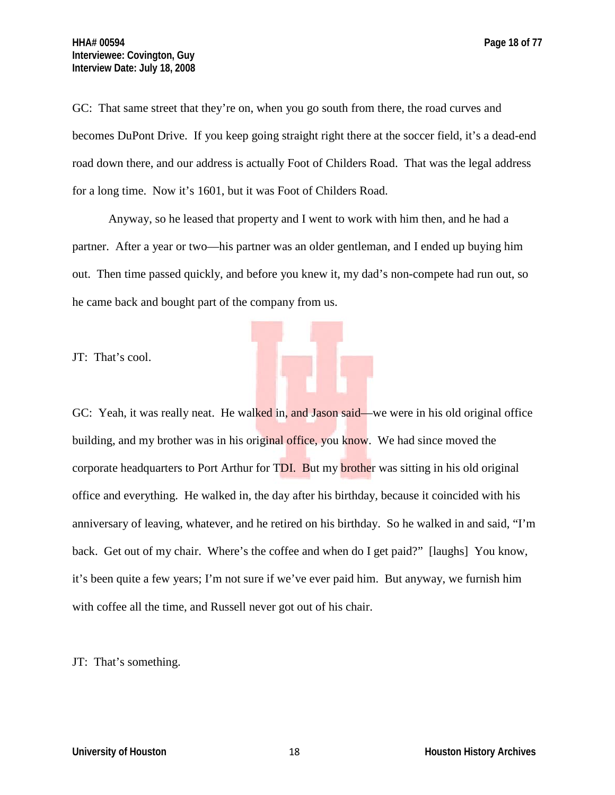GC: That same street that they're on, when you go south from there, the road curves and becomes DuPont Drive. If you keep going straight right there at the soccer field, it's a dead-end road down there, and our address is actually Foot of Childers Road. That was the legal address for a long time. Now it's 1601, but it was Foot of Childers Road.

Anyway, so he leased that property and I went to work with him then, and he had a partner. After a year or two—his partner was an older gentleman, and I ended up buying him out. Then time passed quickly, and before you knew it, my dad's non-compete had run out, so he came back and bought part of the company from us.

JT: That's cool.

GC: Yeah, it was really neat. He walked in, and Jason said—we were in his old original office building, and my brother was in his original office, you know. We had since moved the corporate headquarters to Port Arthur for TDI. But my **brother** was sitting in his old original office and everything. He walked in, the day after his birthday, because it coincided with his anniversary of leaving, whatever, and he retired on his birthday. So he walked in and said, "I'm back. Get out of my chair. Where's the coffee and when do I get paid?" [laughs] You know, it's been quite a few years; I'm not sure if we've ever paid him. But anyway, we furnish him with coffee all the time, and Russell never got out of his chair.

JT: That's something.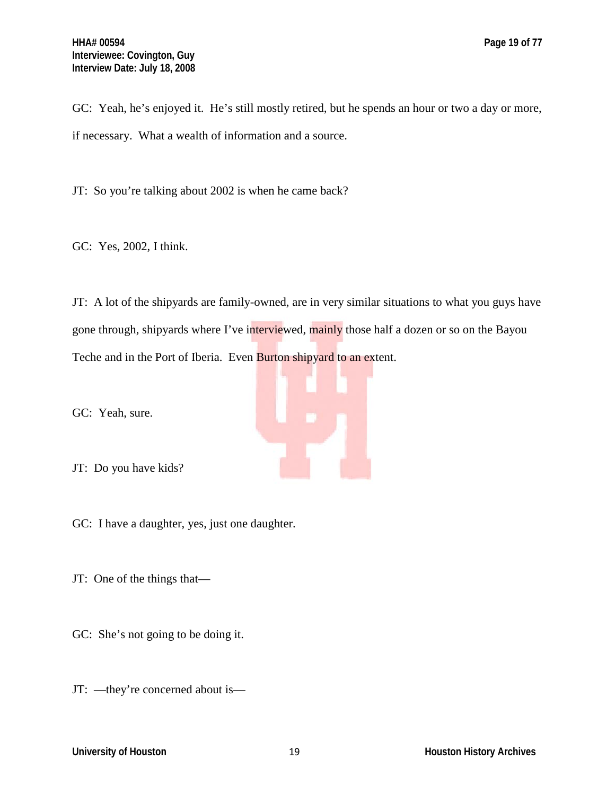GC: Yeah, he's enjoyed it. He's still mostly retired, but he spends an hour or two a day or more, if necessary. What a wealth of information and a source.

JT: So you're talking about 2002 is when he came back?

GC: Yes, 2002, I think.

JT: A lot of the shipyards are family-owned, are in very similar situations to what you guys have gone through, shipyards where I've interviewed, mainly those half a dozen or so on the Bayou Teche and in the Port of Iberia. Even **Burton shipyard to an extent.** 

GC: Yeah, sure.

JT: Do you have kids?

GC: I have a daughter, yes, just one daughter.

JT: One of the things that—

GC: She's not going to be doing it.

JT: —they're concerned about is—

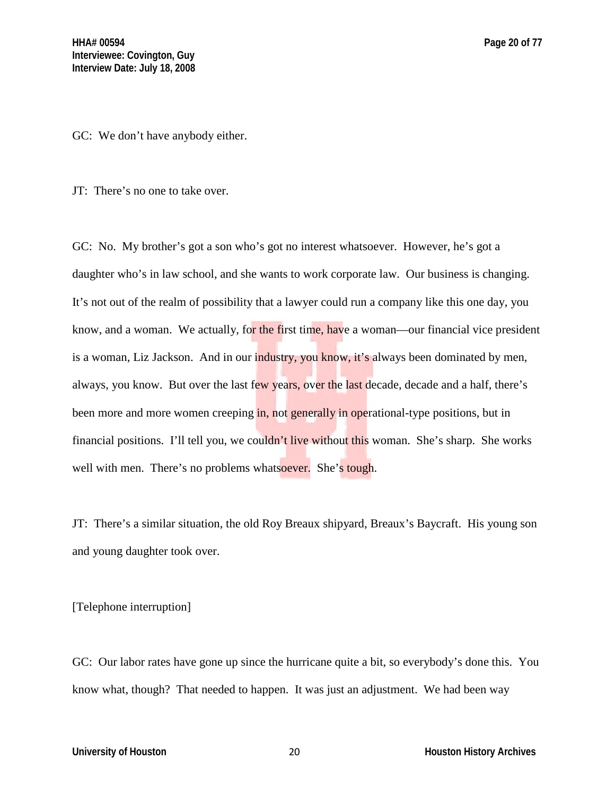GC: We don't have anybody either.

JT: There's no one to take over.

GC: No. My brother's got a son who's got no interest whatsoever. However, he's got a daughter who's in law school, and she wants to work corporate law. Our business is changing. It's not out of the realm of possibility that a lawyer could run a company like this one day, you know, and a woman. We actually, for the first time, have a woman—our financial vice president is a woman, Liz Jackson. And in our industry, you know, it's always been dominated by men, always, you know. But over the last few years, over the last decade, decade and a half, there's been more and more women creeping in, not generally in operational-type positions, but in financial positions. I'll tell you, we couldn't live without this woman. She's sharp. She works well with men. There's no problems whatsoever. She's tough.

JT: There's a similar situation, the old Roy Breaux shipyard, Breaux's Baycraft. His young son and young daughter took over.

[Telephone interruption]

GC: Our labor rates have gone up since the hurricane quite a bit, so everybody's done this. You know what, though? That needed to happen. It was just an adjustment. We had been way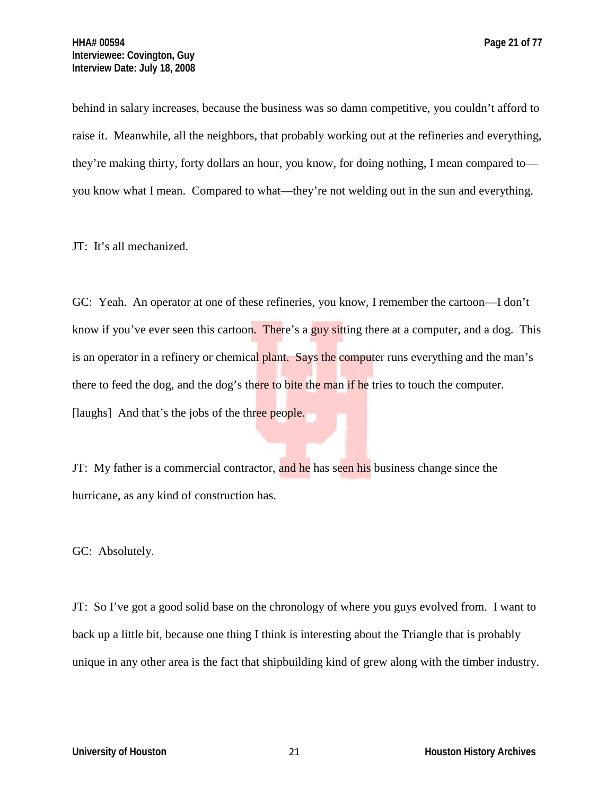behind in salary increases, because the business was so damn competitive, you couldn't afford to raise it. Meanwhile, all the neighbors, that probably working out at the refineries and everything, they're making thirty, forty dollars an hour, you know, for doing nothing, I mean compared to you know what I mean. Compared to what—they're not welding out in the sun and everything.

JT: It's all mechanized.

GC: Yeah. An operator at one of these refineries, you know, I remember the cartoon—I don't know if you've ever seen this cartoon. There's a guy sitting there at a computer, and a dog. This is an operator in a refinery or chemical plant. Says the computer runs everything and the man's there to feed the dog, and the dog's there to bite the man if he tries to touch the computer. [laughs] And that's the jobs of the three people.

JT: My father is a commercial contractor, and he has seen his business change since the hurricane, as any kind of construction has.

GC: Absolutely.

JT: So I've got a good solid base on the chronology of where you guys evolved from. I want to back up a little bit, because one thing I think is interesting about the Triangle that is probably unique in any other area is the fact that shipbuilding kind of grew along with the timber industry.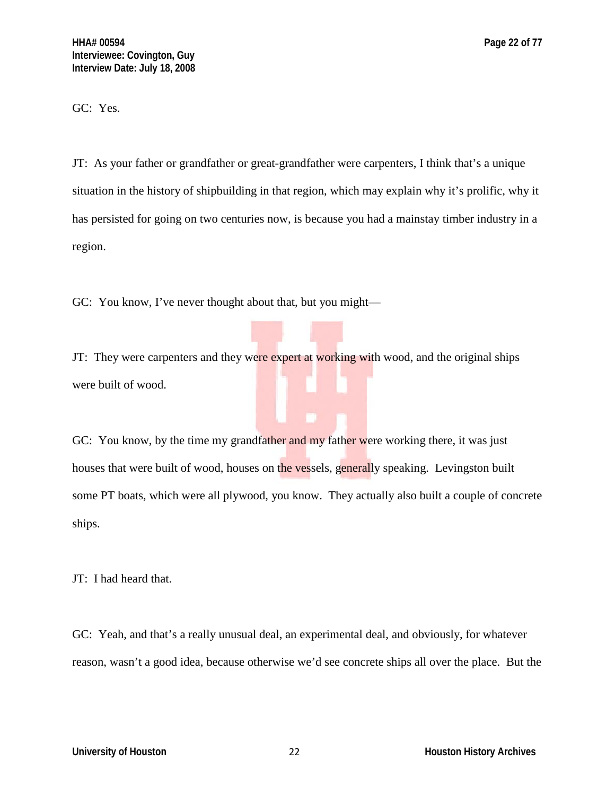GC: Yes.

JT: As your father or grandfather or great-grandfather were carpenters, I think that's a unique situation in the history of shipbuilding in that region, which may explain why it's prolific, why it has persisted for going on two centuries now, is because you had a mainstay timber industry in a region.

GC: You know, I've never thought about that, but you might—

JT: They were carpenters and they were expert at working with wood, and the original ships were built of wood.

GC: You know, by the time my grandfather and my father were working there, it was just houses that were built of wood, houses on the vessels, generally speaking. Levingston built some PT boats, which were all plywood, you know. They actually also built a couple of concrete ships.

JT: I had heard that.

GC: Yeah, and that's a really unusual deal, an experimental deal, and obviously, for whatever reason, wasn't a good idea, because otherwise we'd see concrete ships all over the place. But the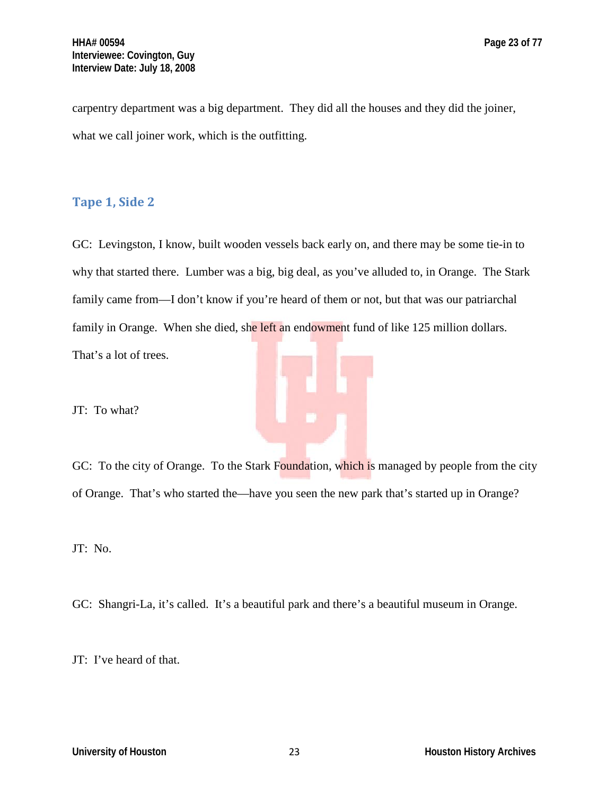carpentry department was a big department. They did all the houses and they did the joiner, what we call joiner work, which is the outfitting.

## **Tape 1, Side 2**

GC: Levingston, I know, built wooden vessels back early on, and there may be some tie-in to why that started there. Lumber was a big, big deal, as you've alluded to, in Orange. The Stark family came from—I don't know if you're heard of them or not, but that was our patriarchal family in Orange. When she died, she left an endowment fund of like 125 million dollars. That's a lot of trees.

JT: To what?

GC: To the city of Orange. To the Stark Foundation, which is managed by people from the city of Orange. That's who started the—have you seen the new park that's started up in Orange?

JT: No.

GC: Shangri-La, it's called. It's a beautiful park and there's a beautiful museum in Orange.

JT: I've heard of that.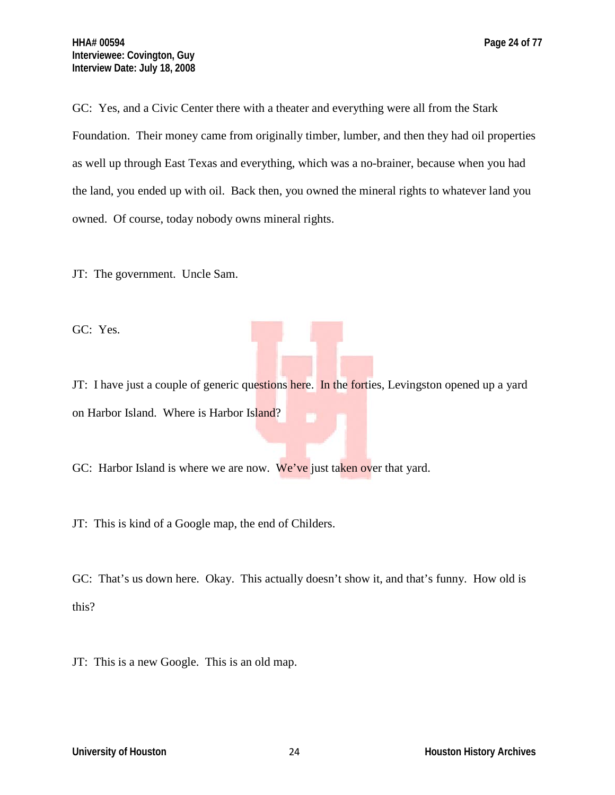GC: Yes, and a Civic Center there with a theater and everything were all from the Stark Foundation. Their money came from originally timber, lumber, and then they had oil properties as well up through East Texas and everything, which was a no-brainer, because when you had the land, you ended up with oil. Back then, you owned the mineral rights to whatever land you owned. Of course, today nobody owns mineral rights.

JT: The government. Uncle Sam.

GC: Yes.

JT: I have just a couple of generic questions here. In the forties, Levingston opened up a yard on Harbor Island. Where is Harbor Island?

GC: Harbor Island is where we are now. We've just taken over that yard.

JT: This is kind of a Google map, the end of Childers.

GC: That's us down here. Okay. This actually doesn't show it, and that's funny. How old is this?

JT: This is a new Google. This is an old map.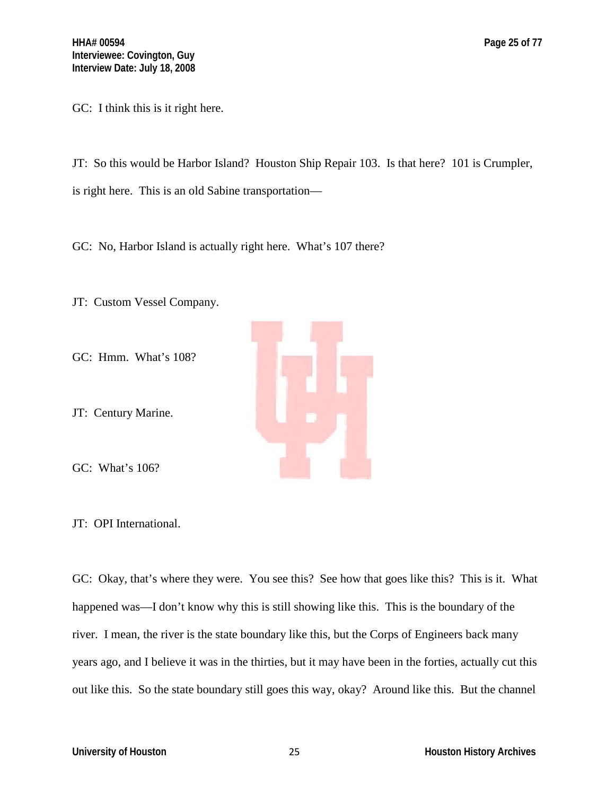JT: So this would be Harbor Island? Houston Ship Repair 103. Is that here? 101 is Crumpler, is right here. This is an old Sabine transportation—

GC: No, Harbor Island is actually right here. What's 107 there?

JT: Custom Vessel Company.

GC: Hmm. What's 108?

JT: Century Marine.

GC: What's 106?

JT: OPI International.

GC: Okay, that's where they were. You see this? See how that goes like this? This is it. What happened was—I don't know why this is still showing like this. This is the boundary of the river. I mean, the river is the state boundary like this, but the Corps of Engineers back many years ago, and I believe it was in the thirties, but it may have been in the forties, actually cut this out like this. So the state boundary still goes this way, okay? Around like this. But the channel

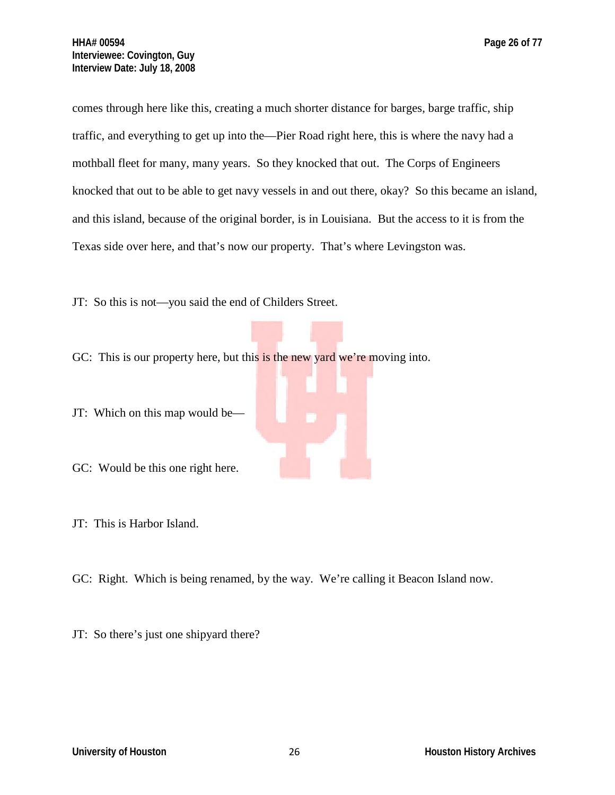comes through here like this, creating a much shorter distance for barges, barge traffic, ship traffic, and everything to get up into the—Pier Road right here, this is where the navy had a mothball fleet for many, many years. So they knocked that out. The Corps of Engineers

knocked that out to be able to get navy vessels in and out there, okay? So this became an island, and this island, because of the original border, is in Louisiana. But the access to it is from the Texas side over here, and that's now our property. That's where Levingston was.

JT: So this is not—you said the end of Childers Street.

GC: This is our property here, but this is the new yard we're moving into.

JT: Which on this map would be—

GC: Would be this one right here.

JT: This is Harbor Island.

GC: Right. Which is being renamed, by the way. We're calling it Beacon Island now.

JT: So there's just one shipyard there?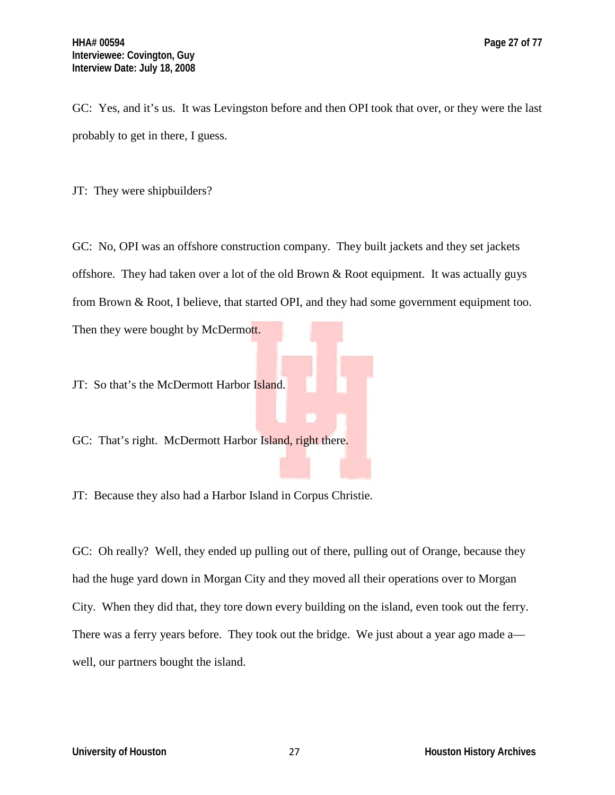GC: Yes, and it's us. It was Levingston before and then OPI took that over, or they were the last probably to get in there, I guess.

JT: They were shipbuilders?

GC: No, OPI was an offshore construction company. They built jackets and they set jackets offshore. They had taken over a lot of the old Brown & Root equipment. It was actually guys from Brown & Root, I believe, that started OPI, and they had some government equipment too. Then they were bought by McDermott.

JT: So that's the McDermott Harbor Island.

GC: That's right. McDermott Harbor Island, right there.

JT: Because they also had a Harbor Island in Corpus Christie.

GC: Oh really? Well, they ended up pulling out of there, pulling out of Orange, because they had the huge yard down in Morgan City and they moved all their operations over to Morgan City. When they did that, they tore down every building on the island, even took out the ferry. There was a ferry years before. They took out the bridge. We just about a year ago made a well, our partners bought the island.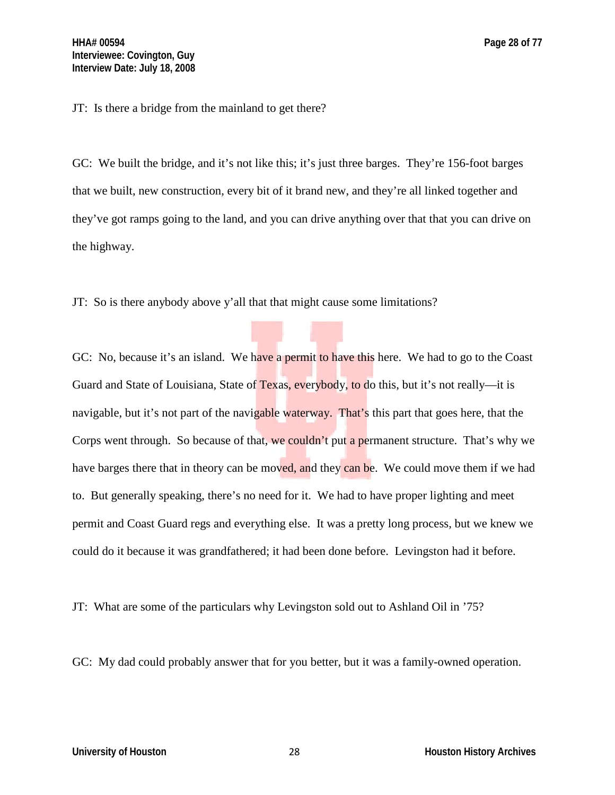JT: Is there a bridge from the mainland to get there?

GC: We built the bridge, and it's not like this; it's just three barges. They're 156-foot barges that we built, new construction, every bit of it brand new, and they're all linked together and they've got ramps going to the land, and you can drive anything over that that you can drive on the highway.

JT: So is there anybody above y'all that that might cause some limitations?

GC: No, because it's an island. We have a permit to have this here. We had to go to the Coast Guard and State of Louisiana, State of Texas, everybody, to do this, but it's not really—it is navigable, but it's not part of the navigable waterway. That's this part that goes here, that the Corps went through. So because of that, we couldn't put a permanent structure. That's why we have barges there that in theory can be moved, and they can be. We could move them if we had to. But generally speaking, there's no need for it. We had to have proper lighting and meet permit and Coast Guard regs and everything else. It was a pretty long process, but we knew we could do it because it was grandfathered; it had been done before. Levingston had it before.

JT: What are some of the particulars why Levingston sold out to Ashland Oil in '75?

GC: My dad could probably answer that for you better, but it was a family-owned operation.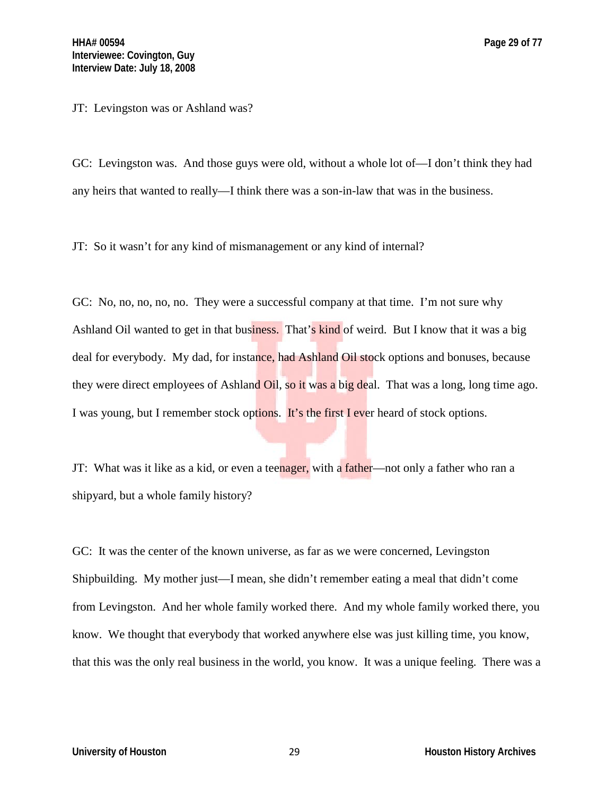JT: Levingston was or Ashland was?

GC: Levingston was. And those guys were old, without a whole lot of—I don't think they had any heirs that wanted to really—I think there was a son-in-law that was in the business.

JT: So it wasn't for any kind of mismanagement or any kind of internal?

GC: No, no, no, no, no. They were a successful company at that time. I'm not sure why Ashland Oil wanted to get in that business. That's kind of weird. But I know that it was a big deal for everybody. My dad, for instance, had Ashland Oil stock options and bonuses, because they were direct employees of Ashland Oil, so it was a big deal. That was a long, long time ago. I was young, but I remember stock options. It's the first I ever heard of stock options.

JT: What was it like as a kid, or even a teenager, with a father—not only a father who ran a shipyard, but a whole family history?

GC: It was the center of the known universe, as far as we were concerned, Levingston Shipbuilding. My mother just—I mean, she didn't remember eating a meal that didn't come from Levingston. And her whole family worked there. And my whole family worked there, you know. We thought that everybody that worked anywhere else was just killing time, you know, that this was the only real business in the world, you know. It was a unique feeling. There was a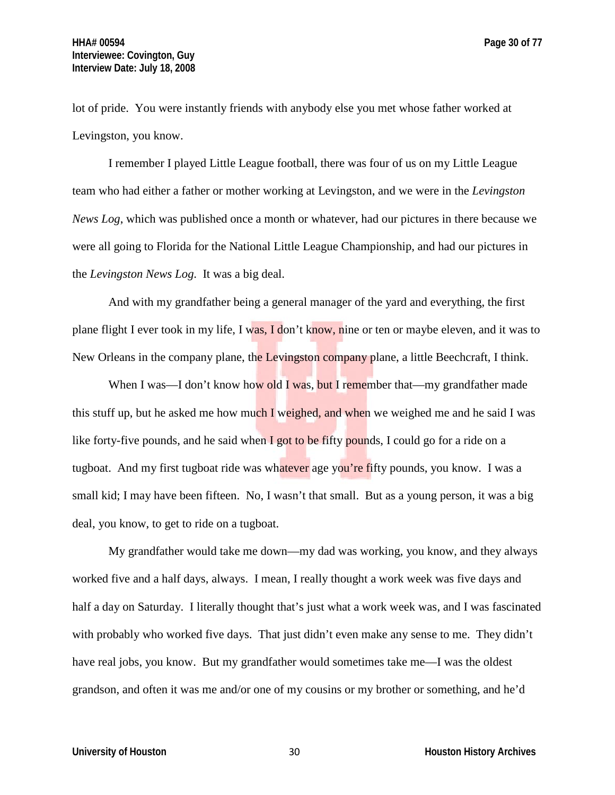lot of pride. You were instantly friends with anybody else you met whose father worked at Levingston, you know.

I remember I played Little League football, there was four of us on my Little League team who had either a father or mother working at Levingston, and we were in the *Levingston News Log*, which was published once a month or whatever, had our pictures in there because we were all going to Florida for the National Little League Championship, and had our pictures in the *Levingston News Log*. It was a big deal.

And with my grandfather being a general manager of the yard and everything, the first plane flight I ever took in my life, I was, I don't know, nine or ten or maybe eleven, and it was to New Orleans in the company plane, the Levingston company plane, a little Beechcraft, I think.

When I was—I don't know how old I was, but I remember that—my grandfather made this stuff up, but he asked me how much I weighed, and when we weighed me and he said I was like forty-five pounds, and he said when  $\Gamma$  got to be fifty pounds, I could go for a ride on a tugboat. And my first tugboat ride was whatever age you're fifty pounds, you know. I was a small kid; I may have been fifteen. No, I wasn't that small. But as a young person, it was a big deal, you know, to get to ride on a tugboat.

My grandfather would take me down—my dad was working, you know, and they always worked five and a half days, always. I mean, I really thought a work week was five days and half a day on Saturday. I literally thought that's just what a work week was, and I was fascinated with probably who worked five days. That just didn't even make any sense to me. They didn't have real jobs, you know. But my grandfather would sometimes take me—I was the oldest grandson, and often it was me and/or one of my cousins or my brother or something, and he'd

**University of Houston 1988 1999 1999 1999 1999 1999 1999 1999 1999 1999 1999 1999 1999 1999 1999 1999 1999 1999 1999 1999 1999 1999 1999 1999 1999 1999 1999 1999 1**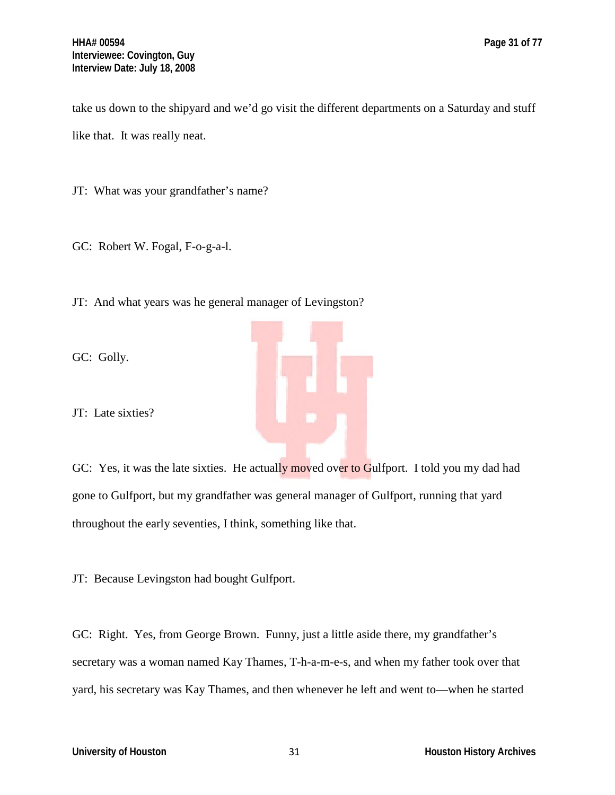take us down to the shipyard and we'd go visit the different departments on a Saturday and stuff like that. It was really neat.

JT: What was your grandfather's name?

GC: Robert W. Fogal, F-o-g-a-l.

JT: And what years was he general manager of Levingston?

GC: Golly.

JT: Late sixties?



JT: Because Levingston had bought Gulfport.

GC: Right. Yes, from George Brown. Funny, just a little aside there, my grandfather's secretary was a woman named Kay Thames, T-h-a-m-e-s, and when my father took over that yard, his secretary was Kay Thames, and then whenever he left and went to—when he started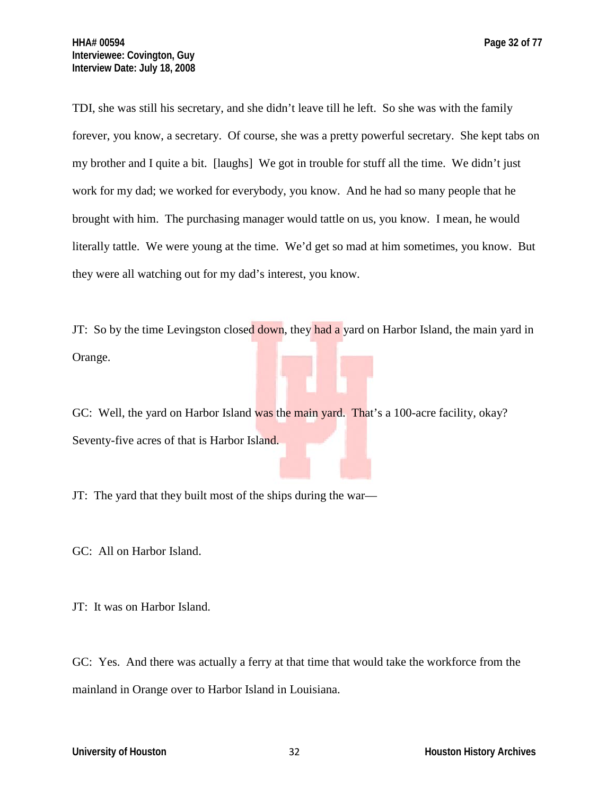TDI, she was still his secretary, and she didn't leave till he left. So she was with the family forever, you know, a secretary. Of course, she was a pretty powerful secretary. She kept tabs on my brother and I quite a bit. [laughs] We got in trouble for stuff all the time. We didn't just work for my dad; we worked for everybody, you know. And he had so many people that he brought with him. The purchasing manager would tattle on us, you know. I mean, he would literally tattle. We were young at the time. We'd get so mad at him sometimes, you know. But they were all watching out for my dad's interest, you know.

JT: So by the time Levingston closed down, they had a yard on Harbor Island, the main yard in Orange.

GC: Well, the yard on Harbor Island was the main yard. That's a 100-acre facility, okay? Seventy-five acres of that is Harbor Island.

JT: The yard that they built most of the ships during the war—

GC: All on Harbor Island.

JT: It was on Harbor Island.

GC: Yes. And there was actually a ferry at that time that would take the workforce from the mainland in Orange over to Harbor Island in Louisiana.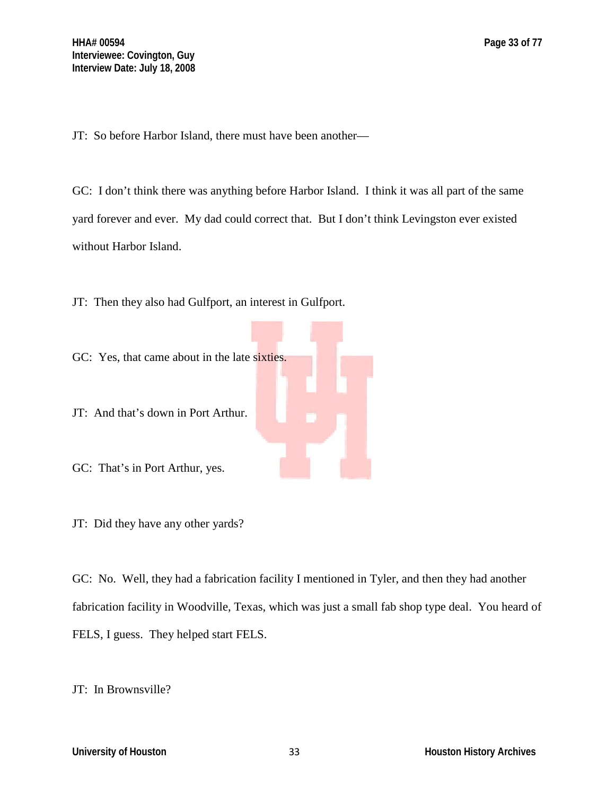JT: So before Harbor Island, there must have been another—

GC: I don't think there was anything before Harbor Island. I think it was all part of the same yard forever and ever. My dad could correct that. But I don't think Levingston ever existed without Harbor Island.

JT: Then they also had Gulfport, an interest in Gulfport.



JT: And that's down in Port Arthur.

GC: That's in Port Arthur, yes.

JT: Did they have any other yards?

GC: No. Well, they had a fabrication facility I mentioned in Tyler, and then they had another fabrication facility in Woodville, Texas, which was just a small fab shop type deal. You heard of FELS, I guess. They helped start FELS.

JT: In Brownsville?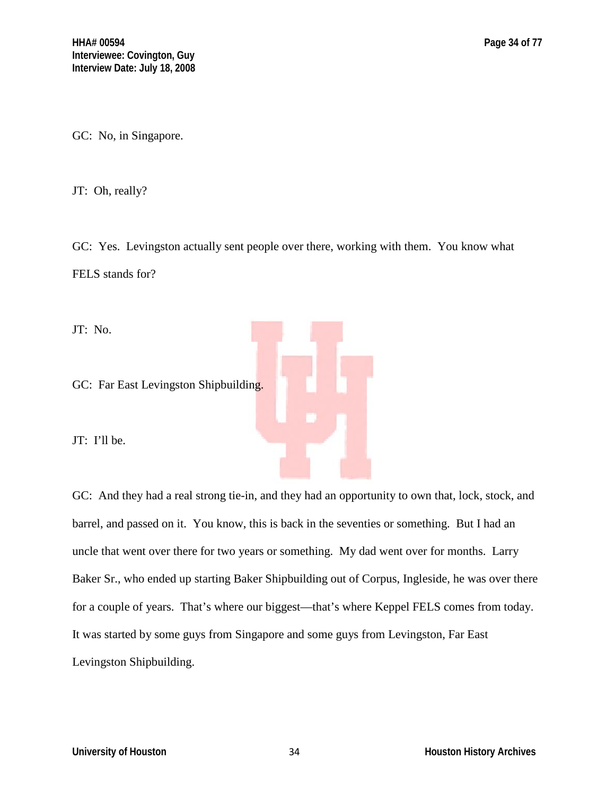GC: No, in Singapore.

JT: Oh, really?

GC: Yes. Levingston actually sent people over there, working with them. You know what FELS stands for?

JT: No.

GC: Far East Levingston Shipbuilding.

JT: I'll be.

GC: And they had a real strong tie-in, and they had an opportunity to own that, lock, stock, and barrel, and passed on it. You know, this is back in the seventies or something. But I had an uncle that went over there for two years or something. My dad went over for months. Larry Baker Sr., who ended up starting Baker Shipbuilding out of Corpus, Ingleside, he was over there for a couple of years. That's where our biggest—that's where Keppel FELS comes from today. It was started by some guys from Singapore and some guys from Levingston, Far East Levingston Shipbuilding.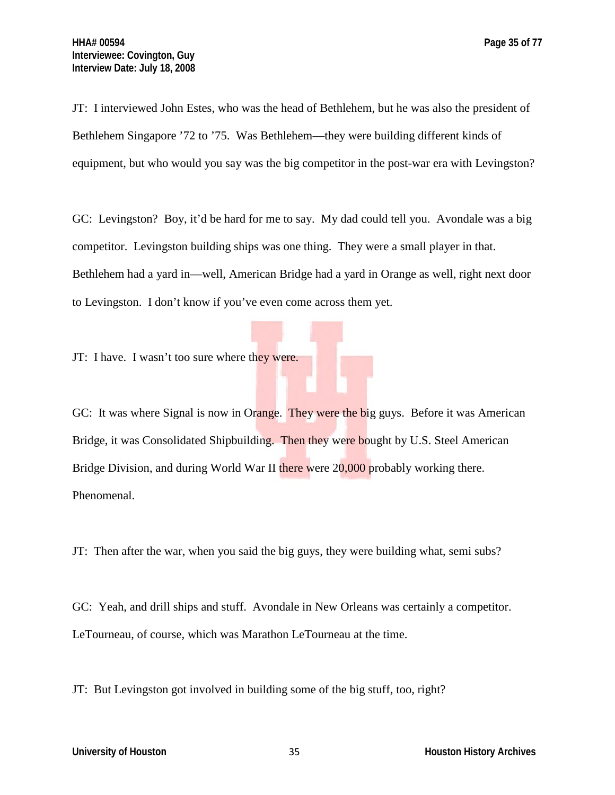JT: I interviewed John Estes, who was the head of Bethlehem, but he was also the president of Bethlehem Singapore '72 to '75. Was Bethlehem—they were building different kinds of equipment, but who would you say was the big competitor in the post-war era with Levingston?

GC: Levingston? Boy, it'd be hard for me to say. My dad could tell you. Avondale was a big competitor. Levingston building ships was one thing. They were a small player in that. Bethlehem had a yard in—well, American Bridge had a yard in Orange as well, right next door to Levingston. I don't know if you've even come across them yet.

JT: I have. I wasn't too sure where they were.

GC: It was where Signal is now in Orange. They were the big guys. Before it was American Bridge, it was Consolidated Shipbuilding. Then they were bought by U.S. Steel American Bridge Division, and during World War II there were 20,000 probably working there. Phenomenal.

JT: Then after the war, when you said the big guys, they were building what, semi subs?

GC: Yeah, and drill ships and stuff. Avondale in New Orleans was certainly a competitor. LeTourneau, of course, which was Marathon LeTourneau at the time.

JT: But Levingston got involved in building some of the big stuff, too, right?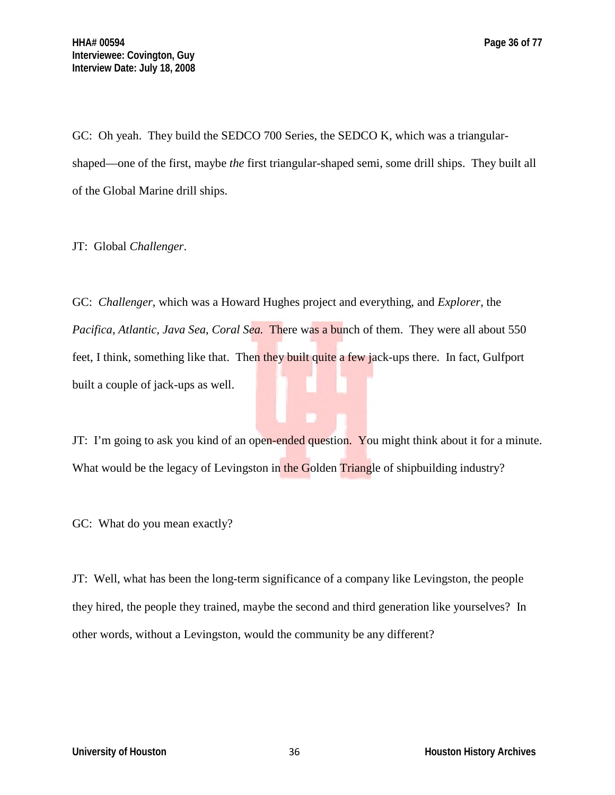GC: Oh yeah. They build the SEDCO 700 Series, the SEDCO K, which was a triangularshaped—one of the first, maybe *the* first triangular-shaped semi, some drill ships. They built all of the Global Marine drill ships.

JT: Global *Challenger*.

GC: *Challenger*, which was a Howard Hughes project and everything, and *Explorer*, the *Pacifica*, *Atlantic, Java Sea*, *Coral Sea.* There was a bunch of them. They were all about 550 feet, I think, something like that. Then they built quite a few jack-ups there. In fact, Gulfport built a couple of jack-ups as well.

JT: I'm going to ask you kind of an open-ended question. You might think about it for a minute. What would be the legacy of Levingston in the Golden Triangle of shipbuilding industry?

GC: What do you mean exactly?

JT: Well, what has been the long-term significance of a company like Levingston, the people they hired, the people they trained, maybe the second and third generation like yourselves? In other words, without a Levingston, would the community be any different?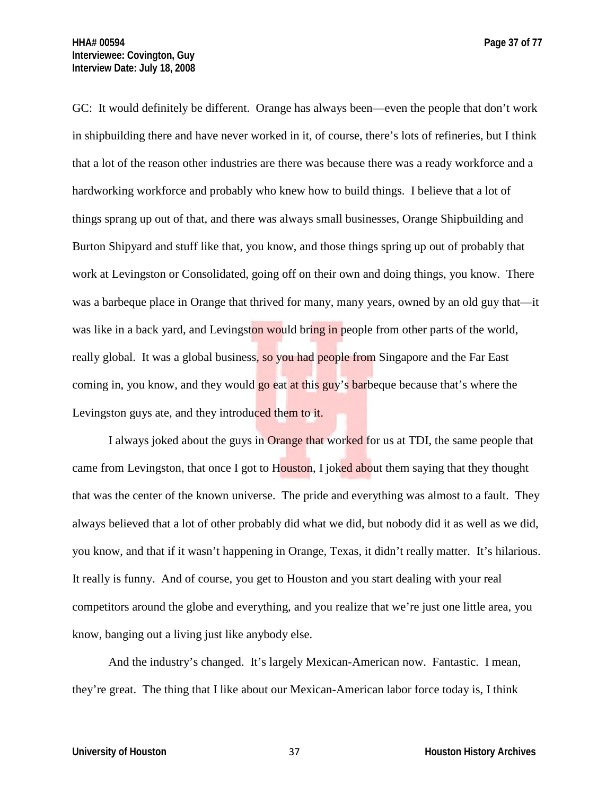GC: It would definitely be different. Orange has always been—even the people that don't work in shipbuilding there and have never worked in it, of course, there's lots of refineries, but I think that a lot of the reason other industries are there was because there was a ready workforce and a hardworking workforce and probably who knew how to build things. I believe that a lot of things sprang up out of that, and there was always small businesses, Orange Shipbuilding and Burton Shipyard and stuff like that, you know, and those things spring up out of probably that work at Levingston or Consolidated, going off on their own and doing things, you know. There was a barbeque place in Orange that thrived for many, many years, owned by an old guy that—it was like in a back yard, and Levingston would bring in people from other parts of the world, really global. It was a global business, so you had people from Singapore and the Far East coming in, you know, and they would go eat at this guy's barbeque because that's where the Levingston guys ate, and they introduced them to it.

I always joked about the guys in Orange that worked for us at TDI, the same people that came from Levingston, that once I got to Houston, I joked about them saying that they thought that was the center of the known universe. The pride and everything was almost to a fault. They always believed that a lot of other probably did what we did, but nobody did it as well as we did, you know, and that if it wasn't happening in Orange, Texas, it didn't really matter. It's hilarious. It really is funny. And of course, you get to Houston and you start dealing with your real competitors around the globe and everything, and you realize that we're just one little area, you know, banging out a living just like anybody else.

And the industry's changed. It's largely Mexican-American now. Fantastic. I mean, they're great. The thing that I like about our Mexican-American labor force today is, I think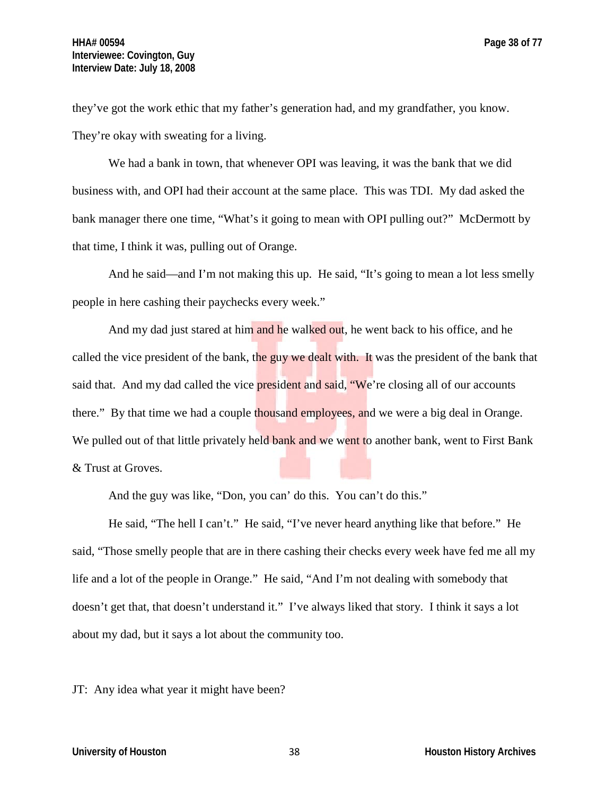they've got the work ethic that my father's generation had, and my grandfather, you know. They're okay with sweating for a living.

We had a bank in town, that whenever OPI was leaving, it was the bank that we did business with, and OPI had their account at the same place. This was TDI. My dad asked the bank manager there one time, "What's it going to mean with OPI pulling out?" McDermott by that time, I think it was, pulling out of Orange.

And he said—and I'm not making this up. He said, "It's going to mean a lot less smelly people in here cashing their paychecks every week."

And my dad just stared at him and he walked out, he went back to his office, and he called the vice president of the bank, the guy we dealt with. It was the president of the bank that said that. And my dad called the vice **president and said, "We're closing all of our accounts** there." By that time we had a couple thousand employees, and we were a big deal in Orange. We pulled out of that little privately held bank and we went to another bank, went to First Bank & Trust at Groves.

And the guy was like, "Don, you can' do this. You can't do this."

He said, "The hell I can't." He said, "I've never heard anything like that before." He said, "Those smelly people that are in there cashing their checks every week have fed me all my life and a lot of the people in Orange." He said, "And I'm not dealing with somebody that doesn't get that, that doesn't understand it." I've always liked that story. I think it says a lot about my dad, but it says a lot about the community too.

JT: Any idea what year it might have been?

**University of Houston** 38 **Houston History Archives**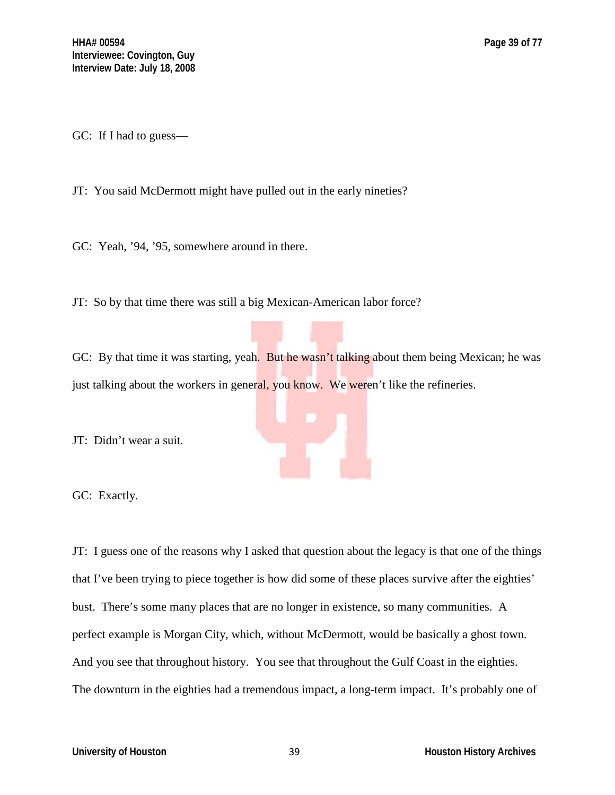GC: If I had to guess—

JT: You said McDermott might have pulled out in the early nineties?

GC: Yeah, '94, '95, somewhere around in there.

JT: So by that time there was still a big Mexican-American labor force?

GC: By that time it was starting, yeah. But he wasn't talking about them being Mexican; he was just talking about the workers in general, you know. We weren't like the refineries.

JT: Didn't wear a suit.

GC: Exactly.

JT: I guess one of the reasons why I asked that question about the legacy is that one of the things that I've been trying to piece together is how did some of these places survive after the eighties' bust. There's some many places that are no longer in existence, so many communities. A perfect example is Morgan City, which, without McDermott, would be basically a ghost town. And you see that throughout history. You see that throughout the Gulf Coast in the eighties. The downturn in the eighties had a tremendous impact, a long-term impact. It's probably one of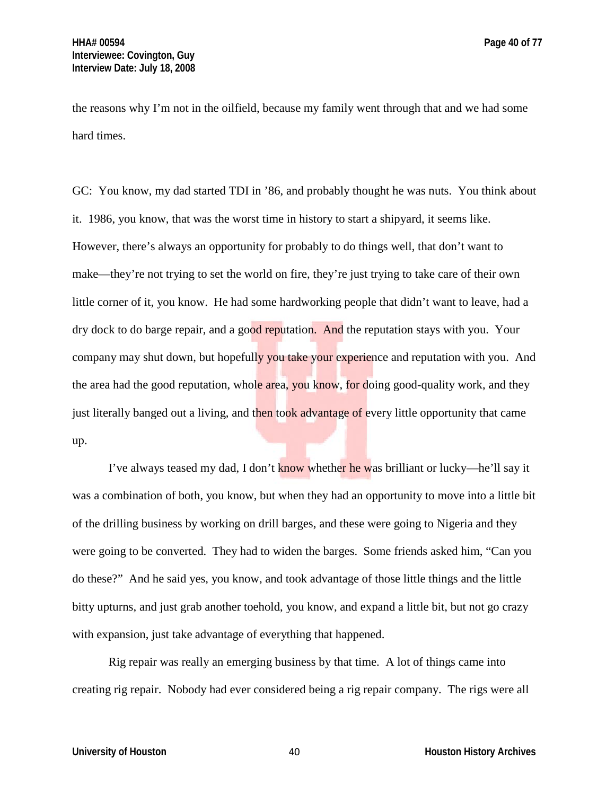the reasons why I'm not in the oilfield, because my family went through that and we had some hard times.

GC: You know, my dad started TDI in '86, and probably thought he was nuts. You think about it. 1986, you know, that was the worst time in history to start a shipyard, it seems like. However, there's always an opportunity for probably to do things well, that don't want to make—they're not trying to set the world on fire, they're just trying to take care of their own little corner of it, you know. He had some hardworking people that didn't want to leave, had a dry dock to do barge repair, and a good reputation. And the reputation stays with you. Your company may shut down, but hopefully you take your experience and reputation with you. And the area had the good reputation, whole area, you know, for doing good-quality work, and they just literally banged out a living, and then took advantage of every little opportunity that came up.

I've always teased my dad, I don't know whether he was brilliant or lucky—he'll say it was a combination of both, you know, but when they had an opportunity to move into a little bit of the drilling business by working on drill barges, and these were going to Nigeria and they were going to be converted. They had to widen the barges. Some friends asked him, "Can you do these?" And he said yes, you know, and took advantage of those little things and the little bitty upturns, and just grab another toehold, you know, and expand a little bit, but not go crazy with expansion, just take advantage of everything that happened.

Rig repair was really an emerging business by that time. A lot of things came into creating rig repair. Nobody had ever considered being a rig repair company. The rigs were all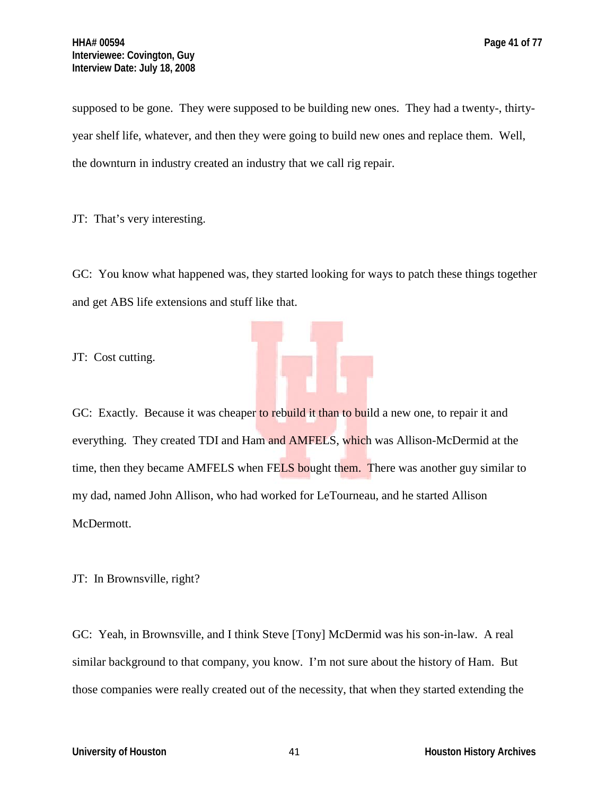supposed to be gone. They were supposed to be building new ones. They had a twenty-, thirtyyear shelf life, whatever, and then they were going to build new ones and replace them. Well, the downturn in industry created an industry that we call rig repair.

JT: That's very interesting.

GC: You know what happened was, they started looking for ways to patch these things together and get ABS life extensions and stuff like that.

JT: Cost cutting.

GC: Exactly. Because it was cheaper to rebuild it than to build a new one, to repair it and everything. They created TDI and Ham and AMFELS, which was Allison-McDermid at the time, then they became AMFELS when FELS bought them. There was another guy similar to my dad, named John Allison, who had worked for LeTourneau, and he started Allison McDermott.

JT: In Brownsville, right?

GC: Yeah, in Brownsville, and I think Steve [Tony] McDermid was his son-in-law. A real similar background to that company, you know. I'm not sure about the history of Ham. But those companies were really created out of the necessity, that when they started extending the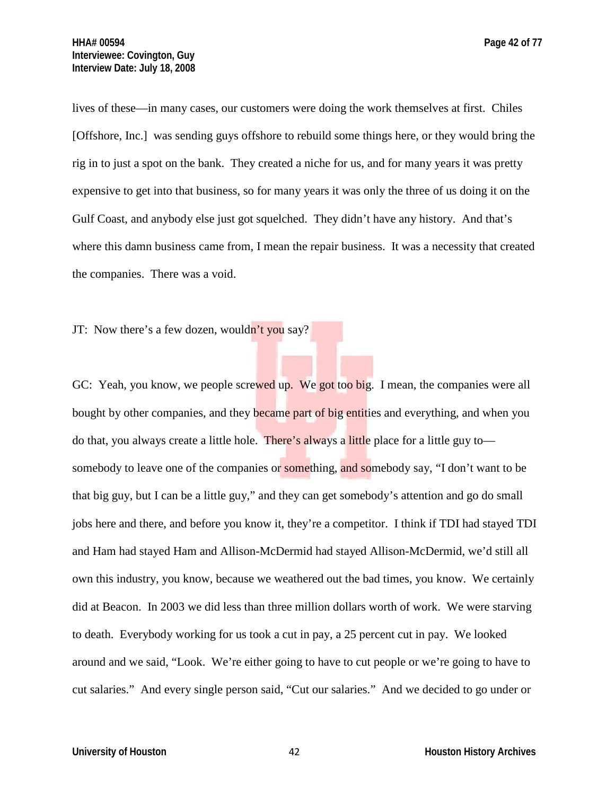lives of these—in many cases, our customers were doing the work themselves at first. Chiles

[Offshore, Inc.] was sending guys offshore to rebuild some things here, or they would bring the rig in to just a spot on the bank. They created a niche for us, and for many years it was pretty expensive to get into that business, so for many years it was only the three of us doing it on the Gulf Coast, and anybody else just got squelched. They didn't have any history. And that's where this damn business came from, I mean the repair business. It was a necessity that created the companies. There was a void.

JT: Now there's a few dozen, wouldn't you say?

GC: Yeah, you know, we people screwed up. We got too big. I mean, the companies were all bought by other companies, and they became part of big entities and everything, and when you do that, you always create a little hole. There's always a little place for a little guy to somebody to leave one of the companies or something, and somebody say, "I don't want to be that big guy, but I can be a little guy," and they can get somebody's attention and go do small jobs here and there, and before you know it, they're a competitor. I think if TDI had stayed TDI and Ham had stayed Ham and Allison-McDermid had stayed Allison-McDermid, we'd still all own this industry, you know, because we weathered out the bad times, you know. We certainly did at Beacon. In 2003 we did less than three million dollars worth of work. We were starving to death. Everybody working for us took a cut in pay, a 25 percent cut in pay. We looked around and we said, "Look. We're either going to have to cut people or we're going to have to cut salaries." And every single person said, "Cut our salaries." And we decided to go under or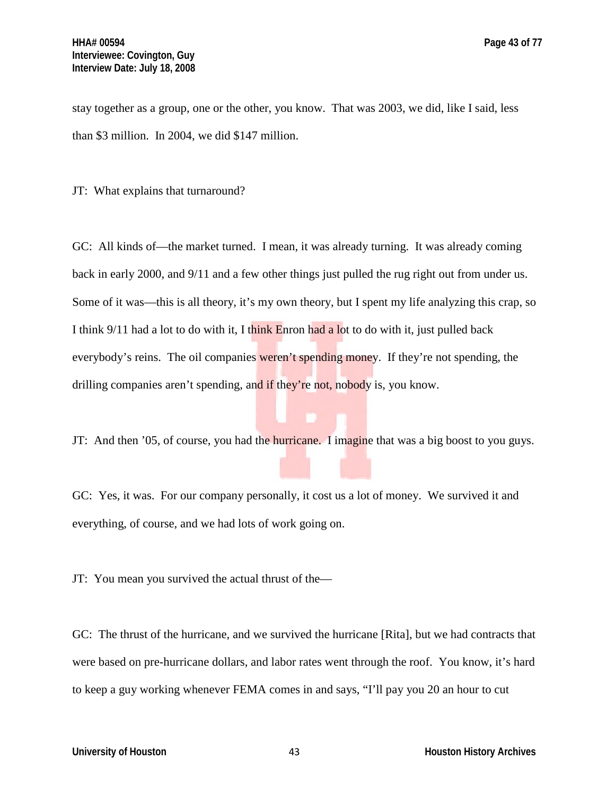stay together as a group, one or the other, you know. That was 2003, we did, like I said, less than \$3 million. In 2004, we did \$147 million.

JT: What explains that turnaround?

GC: All kinds of—the market turned. I mean, it was already turning. It was already coming back in early 2000, and 9/11 and a few other things just pulled the rug right out from under us. Some of it was—this is all theory, it's my own theory, but I spent my life analyzing this crap, so I think 9/11 had a lot to do with it, I think Enron had a lot to do with it, just pulled back everybody's reins. The oil companies weren't spending money. If they're not spending, the drilling companies aren't spending, and if they're not, nobody is, you know.

JT: And then '05, of course, you had the hurricane. I imagine that was a big boost to you guys.

GC: Yes, it was. For our company personally, it cost us a lot of money. We survived it and everything, of course, and we had lots of work going on.

JT: You mean you survived the actual thrust of the—

GC: The thrust of the hurricane, and we survived the hurricane [Rita], but we had contracts that were based on pre-hurricane dollars, and labor rates went through the roof. You know, it's hard to keep a guy working whenever FEMA comes in and says, "I'll pay you 20 an hour to cut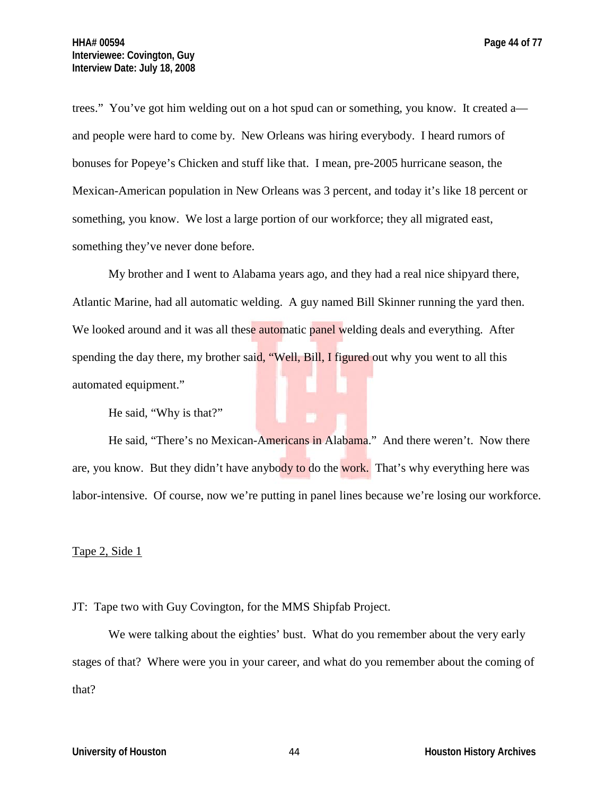trees." You've got him welding out on a hot spud can or something, you know. It created a and people were hard to come by. New Orleans was hiring everybody. I heard rumors of bonuses for Popeye's Chicken and stuff like that. I mean, pre-2005 hurricane season, the Mexican-American population in New Orleans was 3 percent, and today it's like 18 percent or something, you know. We lost a large portion of our workforce; they all migrated east, something they've never done before.

My brother and I went to Alabama years ago, and they had a real nice shipyard there, Atlantic Marine, had all automatic welding. A guy named Bill Skinner running the yard then. We looked around and it was all these automatic panel welding deals and everything. After spending the day there, my brother said, "Well, Bill, I figured out why you went to all this automated equipment."

He said, "Why is that?"

He said, "There's no Mexican-Americans in Alabama." And there weren't. Now there are, you know. But they didn't have anybody to do the work. That's why everything here was labor-intensive. Of course, now we're putting in panel lines because we're losing our workforce.

## Tape 2, Side 1

JT: Tape two with Guy Covington, for the MMS Shipfab Project.

We were talking about the eighties' bust. What do you remember about the very early stages of that? Where were you in your career, and what do you remember about the coming of that?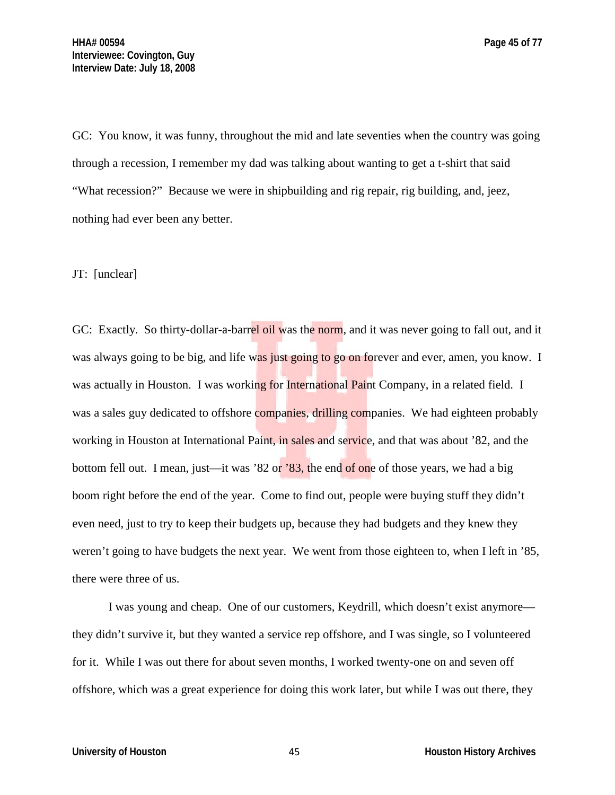GC: You know, it was funny, throughout the mid and late seventies when the country was going through a recession, I remember my dad was talking about wanting to get a t-shirt that said "What recession?" Because we were in shipbuilding and rig repair, rig building, and, jeez, nothing had ever been any better.

## JT: [unclear]

GC: Exactly. So thirty-dollar-a-barrel oil was the norm, and it was never going to fall out, and it was always going to be big, and life was just going to go on forever and ever, amen, you know. I was actually in Houston. I was working for International Paint Company, in a related field. I was a sales guy dedicated to offshore companies, drilling companies. We had eighteen probably working in Houston at International Paint, in sales and service, and that was about '82, and the bottom fell out. I mean, just—it was '82 or '83, the end of one of those years, we had a big boom right before the end of the year. Come to find out, people were buying stuff they didn't even need, just to try to keep their budgets up, because they had budgets and they knew they weren't going to have budgets the next year. We went from those eighteen to, when I left in '85, there were three of us.

I was young and cheap. One of our customers, Keydrill, which doesn't exist anymore they didn't survive it, but they wanted a service rep offshore, and I was single, so I volunteered for it. While I was out there for about seven months, I worked twenty-one on and seven off offshore, which was a great experience for doing this work later, but while I was out there, they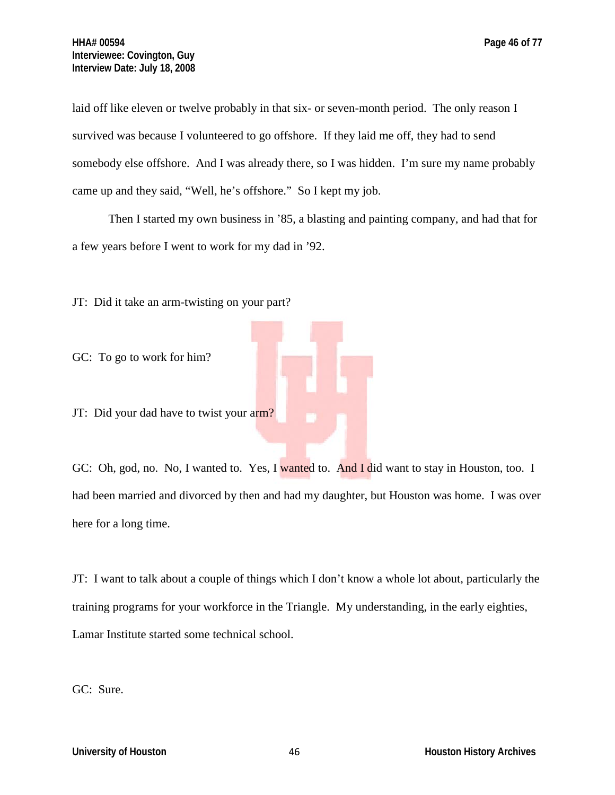laid off like eleven or twelve probably in that six- or seven-month period. The only reason I survived was because I volunteered to go offshore. If they laid me off, they had to send somebody else offshore. And I was already there, so I was hidden. I'm sure my name probably came up and they said, "Well, he's offshore." So I kept my job.

Then I started my own business in '85, a blasting and painting company, and had that for a few years before I went to work for my dad in '92.

JT: Did it take an arm-twisting on your part?

GC: To go to work for him?

JT: Did your dad have to twist your arm?

GC: Oh, god, no. No, I wanted to. Yes, I wanted to. And I did want to stay in Houston, too. I had been married and divorced by then and had my daughter, but Houston was home. I was over here for a long time.

JT: I want to talk about a couple of things which I don't know a whole lot about, particularly the training programs for your workforce in the Triangle. My understanding, in the early eighties, Lamar Institute started some technical school.

GC: Sure.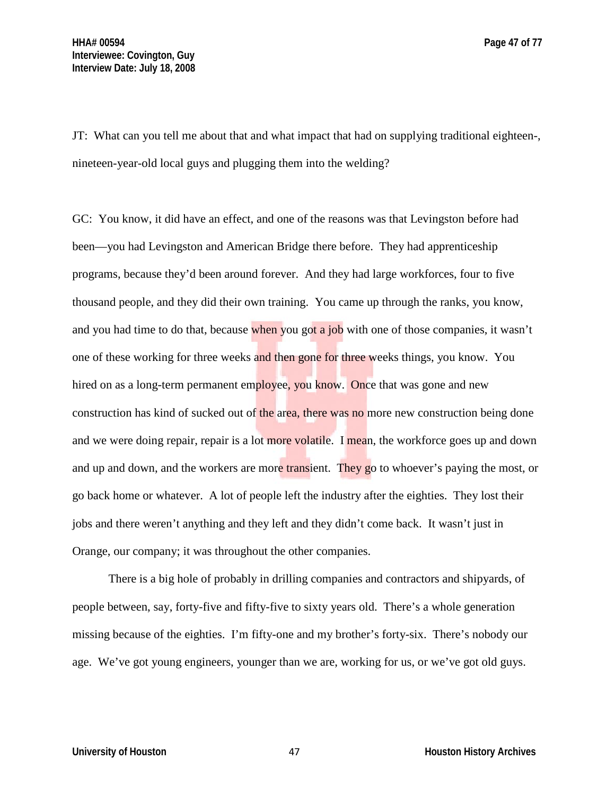JT: What can you tell me about that and what impact that had on supplying traditional eighteen-, nineteen-year-old local guys and plugging them into the welding?

GC: You know, it did have an effect, and one of the reasons was that Levingston before had been—you had Levingston and American Bridge there before. They had apprenticeship programs, because they'd been around forever. And they had large workforces, four to five thousand people, and they did their own training. You came up through the ranks, you know, and you had time to do that, because when you got a job with one of those companies, it wasn't one of these working for three weeks and then gone for three weeks things, you know. You hired on as a long-term permanent employee, you know. Once that was gone and new construction has kind of sucked out of the area, there was no more new construction being done and we were doing repair, repair is a lot more volatile. I mean, the workforce goes up and down and up and down, and the workers are more transient. They go to whoever's paying the most, or go back home or whatever. A lot of people left the industry after the eighties. They lost their jobs and there weren't anything and they left and they didn't come back. It wasn't just in Orange, our company; it was throughout the other companies.

There is a big hole of probably in drilling companies and contractors and shipyards, of people between, say, forty-five and fifty-five to sixty years old. There's a whole generation missing because of the eighties. I'm fifty-one and my brother's forty-six. There's nobody our age. We've got young engineers, younger than we are, working for us, or we've got old guys.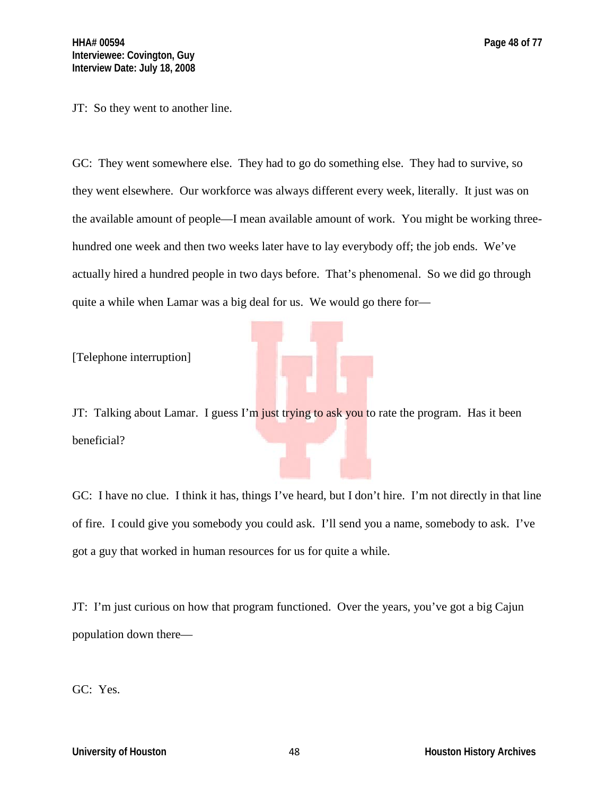JT: So they went to another line.

GC: They went somewhere else. They had to go do something else. They had to survive, so they went elsewhere. Our workforce was always different every week, literally. It just was on the available amount of people—I mean available amount of work. You might be working threehundred one week and then two weeks later have to lay everybody off; the job ends. We've actually hired a hundred people in two days before. That's phenomenal. So we did go through quite a while when Lamar was a big deal for us. We would go there for—

[Telephone interruption]

JT: Talking about Lamar. I guess I'm just trying to ask you to rate the program. Has it been beneficial?

GC: I have no clue. I think it has, things I've heard, but I don't hire. I'm not directly in that line of fire. I could give you somebody you could ask. I'll send you a name, somebody to ask. I've got a guy that worked in human resources for us for quite a while.

JT: I'm just curious on how that program functioned. Over the years, you've got a big Cajun population down there—

GC: Yes.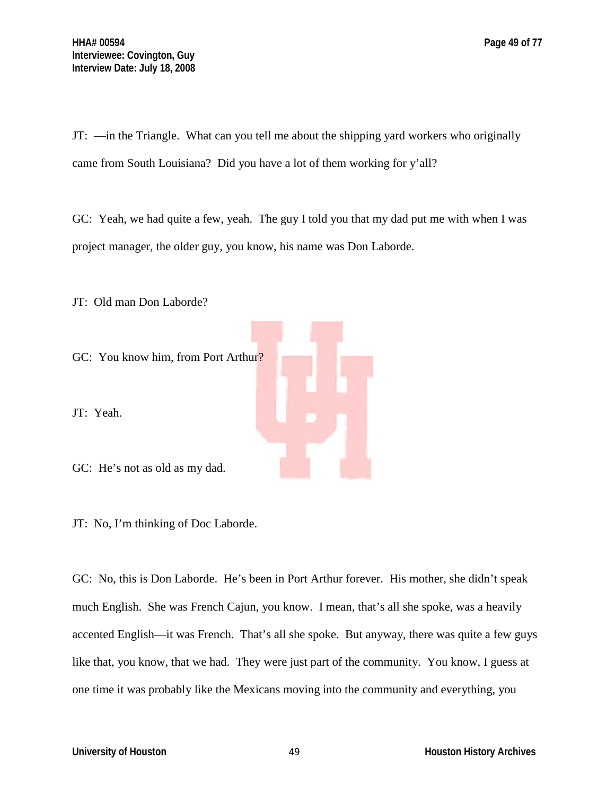JT: —in the Triangle. What can you tell me about the shipping yard workers who originally came from South Louisiana? Did you have a lot of them working for y'all?

GC: Yeah, we had quite a few, yeah. The guy I told you that my dad put me with when I was project manager, the older guy, you know, his name was Don Laborde.

JT: Old man Don Laborde?

GC: You know him, from Port Arthur?

JT: Yeah.

GC: He's not as old as my dad.

JT: No, I'm thinking of Doc Laborde.

GC: No, this is Don Laborde. He's been in Port Arthur forever. His mother, she didn't speak much English. She was French Cajun, you know. I mean, that's all she spoke, was a heavily accented English—it was French. That's all she spoke. But anyway, there was quite a few guys like that, you know, that we had. They were just part of the community. You know, I guess at one time it was probably like the Mexicans moving into the community and everything, you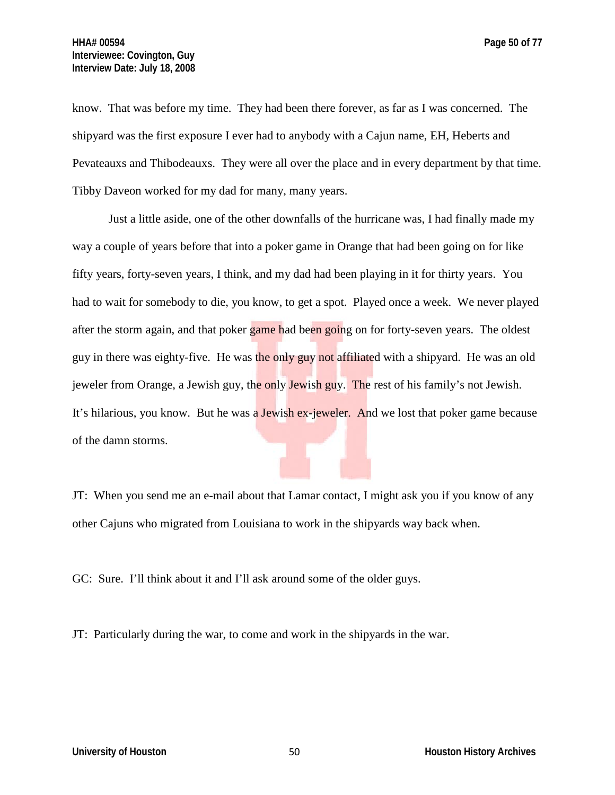know. That was before my time. They had been there forever, as far as I was concerned. The shipyard was the first exposure I ever had to anybody with a Cajun name, EH, Heberts and Pevateauxs and Thibodeauxs. They were all over the place and in every department by that time. Tibby Daveon worked for my dad for many, many years.

Just a little aside, one of the other downfalls of the hurricane was, I had finally made my way a couple of years before that into a poker game in Orange that had been going on for like fifty years, forty-seven years, I think, and my dad had been playing in it for thirty years. You had to wait for somebody to die, you know, to get a spot. Played once a week. We never played after the storm again, and that poker game had been going on for forty-seven years. The oldest guy in there was eighty-five. He was the only guy not affiliated with a shipyard. He was an old jeweler from Orange, a Jewish guy, the only Jewish guy. The rest of his family's not Jewish. It's hilarious, you know. But he was a Jewish ex-jeweler. And we lost that poker game because of the damn storms.

JT: When you send me an e-mail about that Lamar contact, I might ask you if you know of any other Cajuns who migrated from Louisiana to work in the shipyards way back when.

GC: Sure. I'll think about it and I'll ask around some of the older guys.

JT: Particularly during the war, to come and work in the shipyards in the war.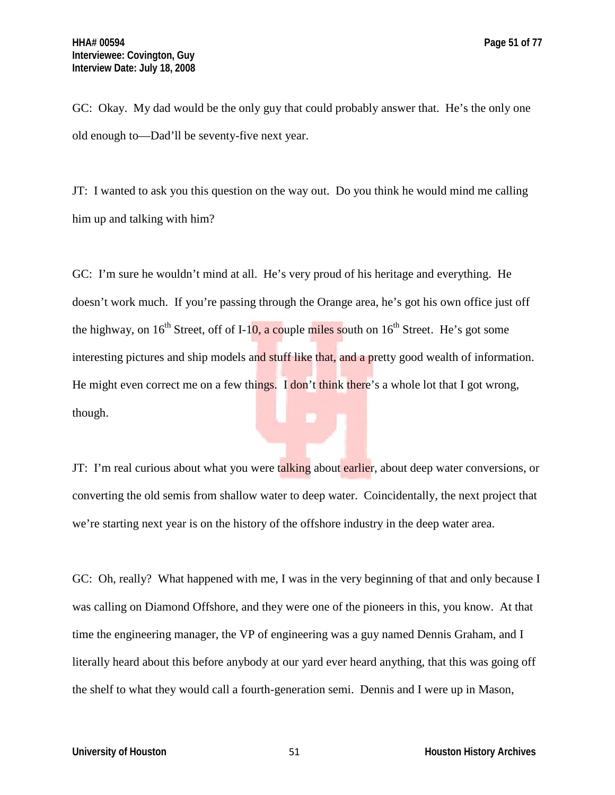GC: Okay. My dad would be the only guy that could probably answer that. He's the only one old enough to—Dad'll be seventy-five next year.

JT: I wanted to ask you this question on the way out. Do you think he would mind me calling him up and talking with him?

GC: I'm sure he wouldn't mind at all. He's very proud of his heritage and everything. He doesn't work much. If you're passing through the Orange area, he's got his own office just off the highway, on  $16<sup>th</sup>$  Street, off of I-10, a couple miles south on  $16<sup>th</sup>$  Street. He's got some interesting pictures and ship models and stuff like that, and a pretty good wealth of information. He might even correct me on a few things. I don't think there's a whole lot that I got wrong, though.

JT: I'm real curious about what you were talking about earlier, about deep water conversions, or converting the old semis from shallow water to deep water. Coincidentally, the next project that we're starting next year is on the history of the offshore industry in the deep water area.

GC: Oh, really? What happened with me, I was in the very beginning of that and only because I was calling on Diamond Offshore, and they were one of the pioneers in this, you know. At that time the engineering manager, the VP of engineering was a guy named Dennis Graham, and I literally heard about this before anybody at our yard ever heard anything, that this was going off the shelf to what they would call a fourth-generation semi. Dennis and I were up in Mason,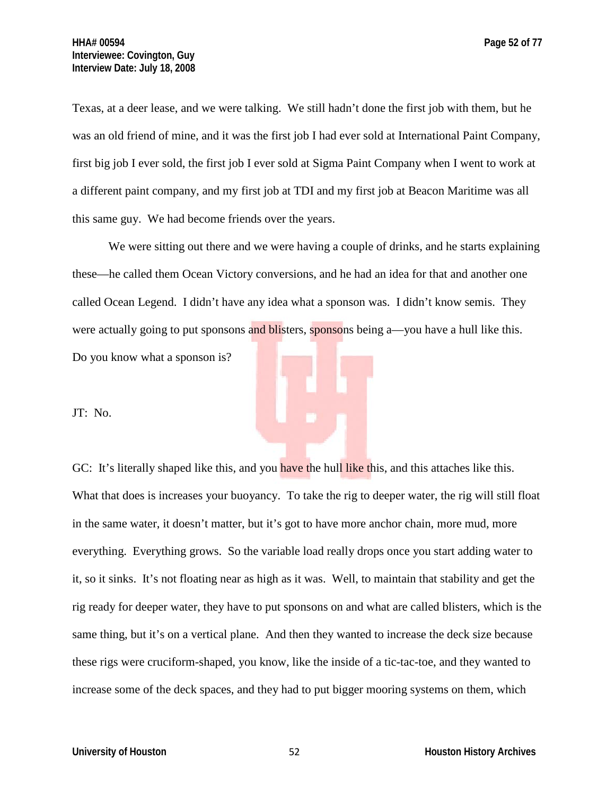Texas, at a deer lease, and we were talking. We still hadn't done the first job with them, but he was an old friend of mine, and it was the first job I had ever sold at International Paint Company, first big job I ever sold, the first job I ever sold at Sigma Paint Company when I went to work at a different paint company, and my first job at TDI and my first job at Beacon Maritime was all this same guy. We had become friends over the years.

We were sitting out there and we were having a couple of drinks, and he starts explaining these—he called them Ocean Victory conversions, and he had an idea for that and another one called Ocean Legend. I didn't have any idea what a sponson was. I didn't know semis. They were actually going to put sponsons and blisters, sponsons being a—you have a hull like this. Do you know what a sponson is?

JT: No.

GC: It's literally shaped like this, and you have the hull like this, and this attaches like this. What that does is increases your buoyancy. To take the rig to deeper water, the rig will still float in the same water, it doesn't matter, but it's got to have more anchor chain, more mud, more everything. Everything grows. So the variable load really drops once you start adding water to it, so it sinks. It's not floating near as high as it was. Well, to maintain that stability and get the rig ready for deeper water, they have to put sponsons on and what are called blisters, which is the same thing, but it's on a vertical plane. And then they wanted to increase the deck size because these rigs were cruciform-shaped, you know, like the inside of a tic-tac-toe, and they wanted to increase some of the deck spaces, and they had to put bigger mooring systems on them, which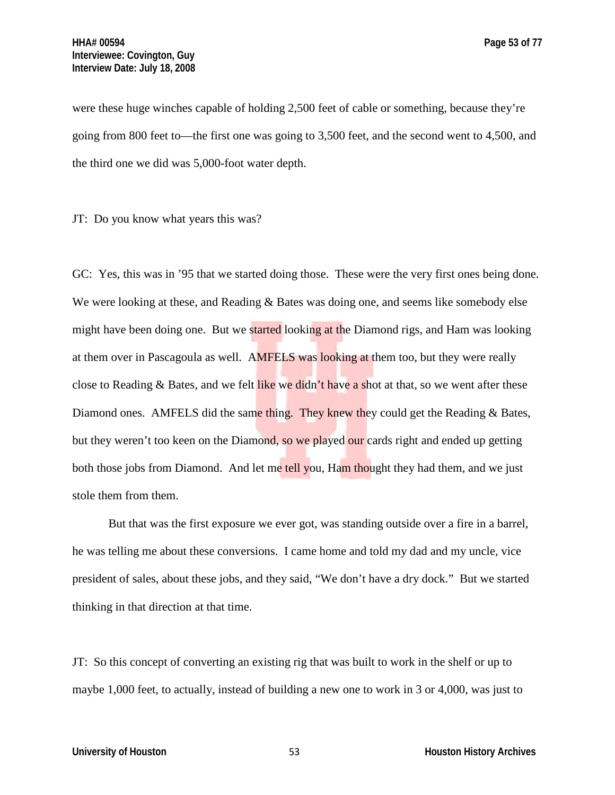were these huge winches capable of holding 2,500 feet of cable or something, because they're going from 800 feet to—the first one was going to 3,500 feet, and the second went to 4,500, and the third one we did was 5,000-foot water depth.

JT: Do you know what years this was?

GC: Yes, this was in '95 that we started doing those. These were the very first ones being done. We were looking at these, and Reading & Bates was doing one, and seems like somebody else might have been doing one. But we started looking at the Diamond rigs, and Ham was looking at them over in Pascagoula as well. AMFELS was looking at them too, but they were really close to Reading  $\&$  Bates, and we felt like we didn't have a shot at that, so we went after these Diamond ones. AMFELS did the same thing. They knew they could get the Reading  $&$  Bates, but they weren't too keen on the Diamond, so we played our cards right and ended up getting both those jobs from Diamond. And let me tell you, Ham thought they had them, and we just stole them from them.

But that was the first exposure we ever got, was standing outside over a fire in a barrel, he was telling me about these conversions. I came home and told my dad and my uncle, vice president of sales, about these jobs, and they said, "We don't have a dry dock." But we started thinking in that direction at that time.

JT: So this concept of converting an existing rig that was built to work in the shelf or up to maybe 1,000 feet, to actually, instead of building a new one to work in 3 or 4,000, was just to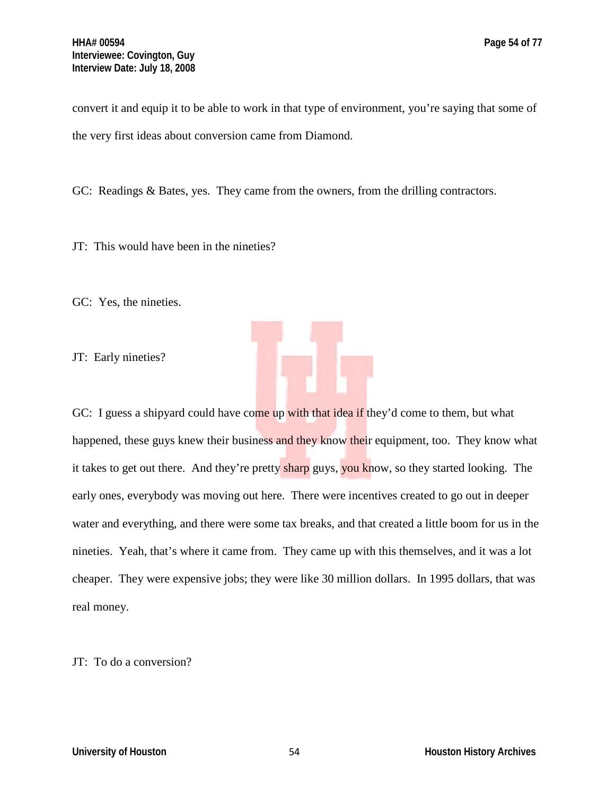convert it and equip it to be able to work in that type of environment, you're saying that some of the very first ideas about conversion came from Diamond.

GC: Readings & Bates, yes. They came from the owners, from the drilling contractors.

JT: This would have been in the nineties?

GC: Yes, the nineties.

JT: Early nineties?



GC: I guess a shipyard could have come up with that idea if they'd come to them, but what happened, these guys knew their business and they know their equipment, too. They know what it takes to get out there. And they're pretty sharp guys, you know, so they started looking. The early ones, everybody was moving out here. There were incentives created to go out in deeper water and everything, and there were some tax breaks, and that created a little boom for us in the nineties. Yeah, that's where it came from. They came up with this themselves, and it was a lot cheaper. They were expensive jobs; they were like 30 million dollars. In 1995 dollars, that was real money.

JT: To do a conversion?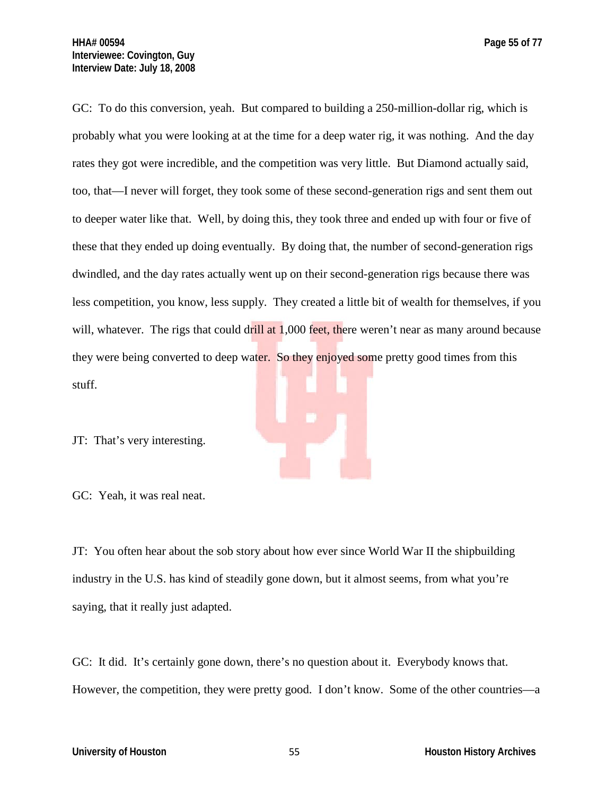GC: To do this conversion, yeah. But compared to building a 250-million-dollar rig, which is probably what you were looking at at the time for a deep water rig, it was nothing. And the day rates they got were incredible, and the competition was very little. But Diamond actually said, too, that—I never will forget, they took some of these second-generation rigs and sent them out to deeper water like that. Well, by doing this, they took three and ended up with four or five of these that they ended up doing eventually. By doing that, the number of second-generation rigs dwindled, and the day rates actually went up on their second-generation rigs because there was less competition, you know, less supply. They created a little bit of wealth for themselves, if you will, whatever. The rigs that could drill at  $1,000$  feet, there weren't near as many around because they were being converted to deep water. So they enjoyed some pretty good times from this stuff.

JT: That's very interesting.

GC: Yeah, it was real neat.

JT: You often hear about the sob story about how ever since World War II the shipbuilding industry in the U.S. has kind of steadily gone down, but it almost seems, from what you're saying, that it really just adapted.

GC: It did. It's certainly gone down, there's no question about it. Everybody knows that. However, the competition, they were pretty good. I don't know. Some of the other countries—a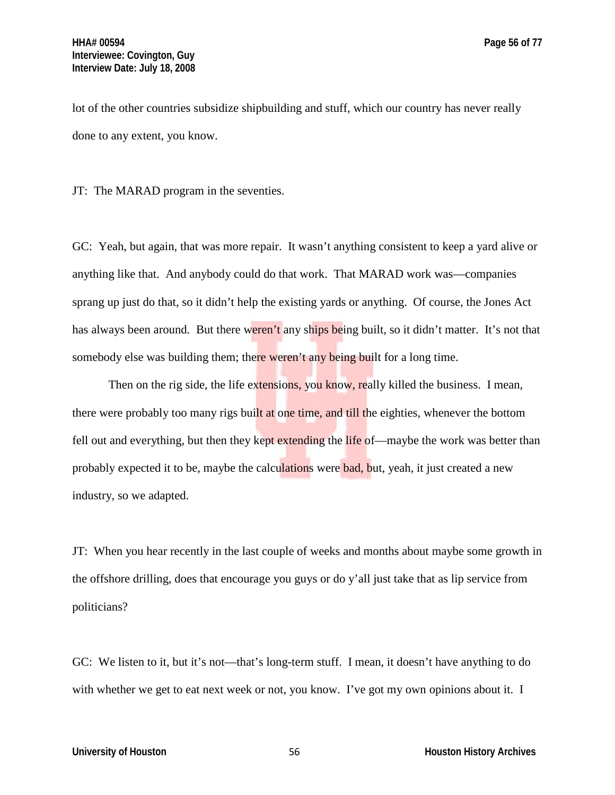lot of the other countries subsidize shipbuilding and stuff, which our country has never really done to any extent, you know.

JT: The MARAD program in the seventies.

GC: Yeah, but again, that was more repair. It wasn't anything consistent to keep a yard alive or anything like that. And anybody could do that work. That MARAD work was—companies sprang up just do that, so it didn't help the existing yards or anything. Of course, the Jones Act has always been around. But there weren't any ships being built, so it didn't matter. It's not that somebody else was building them; there weren't any being built for a long time.

Then on the rig side, the life extensions, you know, really killed the business. I mean, there were probably too many rigs built at one time, and till the eighties, whenever the bottom fell out and everything, but then they kept extending the life of—maybe the work was better than probably expected it to be, maybe the calculations were **bad**, but, yeah, it just created a new industry, so we adapted.

JT: When you hear recently in the last couple of weeks and months about maybe some growth in the offshore drilling, does that encourage you guys or do y'all just take that as lip service from politicians?

GC: We listen to it, but it's not—that's long-term stuff. I mean, it doesn't have anything to do with whether we get to eat next week or not, you know. I've got my own opinions about it. I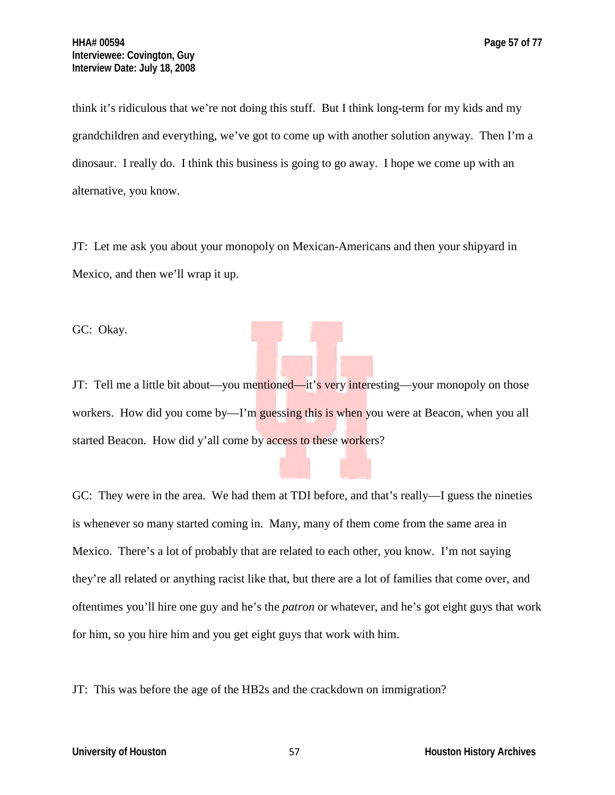think it's ridiculous that we're not doing this stuff. But I think long-term for my kids and my grandchildren and everything, we've got to come up with another solution anyway. Then I'm a dinosaur. I really do. I think this business is going to go away. I hope we come up with an alternative, you know.

JT: Let me ask you about your monopoly on Mexican-Americans and then your shipyard in Mexico, and then we'll wrap it up.

GC: Okay.

JT: Tell me a little bit about—you mentioned—it's very interesting—your monopoly on those workers. How did you come by—I'm guessing this is when you were at Beacon, when you all started Beacon. How did y'all come by access to these workers?

GC: They were in the area. We had them at TDI before, and that's really—I guess the nineties is whenever so many started coming in. Many, many of them come from the same area in Mexico. There's a lot of probably that are related to each other, you know. I'm not saying they're all related or anything racist like that, but there are a lot of families that come over, and oftentimes you'll hire one guy and he's the *patron* or whatever, and he's got eight guys that work for him, so you hire him and you get eight guys that work with him.

JT: This was before the age of the HB2s and the crackdown on immigration?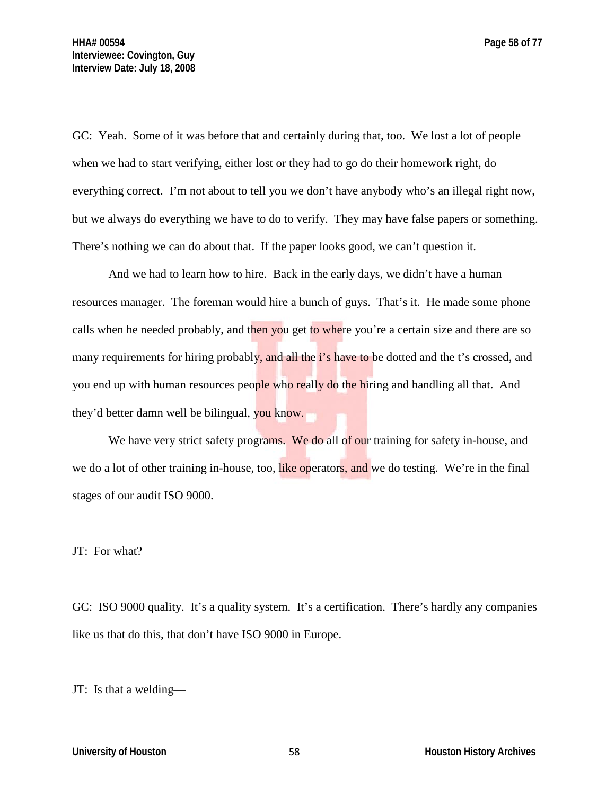GC: Yeah. Some of it was before that and certainly during that, too. We lost a lot of people when we had to start verifying, either lost or they had to go do their homework right, do everything correct. I'm not about to tell you we don't have anybody who's an illegal right now, but we always do everything we have to do to verify. They may have false papers or something. There's nothing we can do about that. If the paper looks good, we can't question it.

And we had to learn how to hire. Back in the early days, we didn't have a human resources manager. The foreman would hire a bunch of guys. That's it. He made some phone calls when he needed probably, and then you get to where you're a certain size and there are so many requirements for hiring probably, and all the i's have to be dotted and the t's crossed, and you end up with human resources people who really do the hiring and handling all that. And they'd better damn well be bilingual, you know.

We have very strict safety programs. We do all of our training for safety in-house, and we do a lot of other training in-house, too, like operators, and we do testing. We're in the final stages of our audit ISO 9000.

#### JT: For what?

GC: ISO 9000 quality. It's a quality system. It's a certification. There's hardly any companies like us that do this, that don't have ISO 9000 in Europe.

JT: Is that a welding—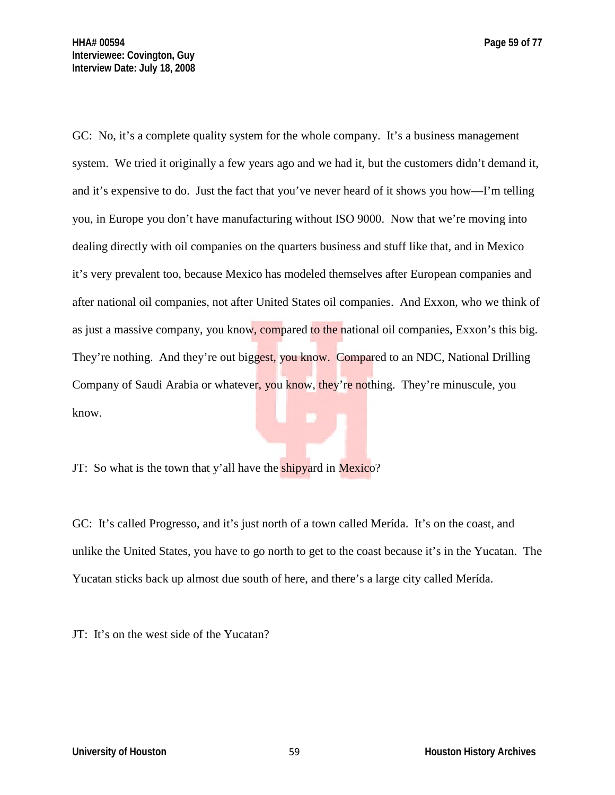GC: No, it's a complete quality system for the whole company. It's a business management system. We tried it originally a few years ago and we had it, but the customers didn't demand it, and it's expensive to do. Just the fact that you've never heard of it shows you how—I'm telling you, in Europe you don't have manufacturing without ISO 9000. Now that we're moving into dealing directly with oil companies on the quarters business and stuff like that, and in Mexico it's very prevalent too, because Mexico has modeled themselves after European companies and after national oil companies, not after United States oil companies. And Exxon, who we think of as just a massive company, you know, compared to the national oil companies, Exxon's this big. They're nothing. And they're out biggest, you know. Compared to an NDC, National Drilling Company of Saudi Arabia or whatever, you know, they're nothing. They're minuscule, you know.

JT: So what is the town that y'all have the shipyard in Mexico?

GC: It's called Progresso, and it's just north of a town called Merída. It's on the coast, and unlike the United States, you have to go north to get to the coast because it's in the Yucatan. The Yucatan sticks back up almost due south of here, and there's a large city called Merída.

JT: It's on the west side of the Yucatan?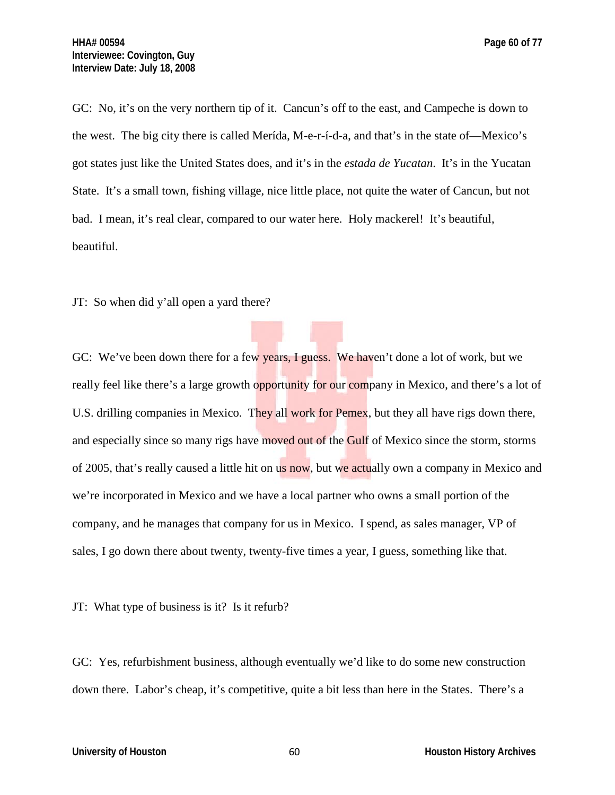GC: No, it's on the very northern tip of it. Cancun's off to the east, and Campeche is down to the west. The big city there is called Merída, M-e-r-í-d-a, and that's in the state of—Mexico's got states just like the United States does, and it's in the *estada de Yucatan*. It's in the Yucatan State. It's a small town, fishing village, nice little place, not quite the water of Cancun, but not bad. I mean, it's real clear, compared to our water here. Holy mackerel! It's beautiful, beautiful.

JT: So when did y'all open a yard there?

GC: We've been down there for a few years, I guess. We haven't done a lot of work, but we really feel like there's a large growth opportunity for our company in Mexico, and there's a lot of U.S. drilling companies in Mexico. They all work for Pemex, but they all have rigs down there, and especially since so many rigs have moved out of the Gulf of Mexico since the storm, storms of 2005, that's really caused a little hit on us now, but we actually own a company in Mexico and we're incorporated in Mexico and we have a local partner who owns a small portion of the company, and he manages that company for us in Mexico. I spend, as sales manager, VP of sales, I go down there about twenty, twenty-five times a year, I guess, something like that.

JT: What type of business is it? Is it refurb?

GC: Yes, refurbishment business, although eventually we'd like to do some new construction down there. Labor's cheap, it's competitive, quite a bit less than here in the States. There's a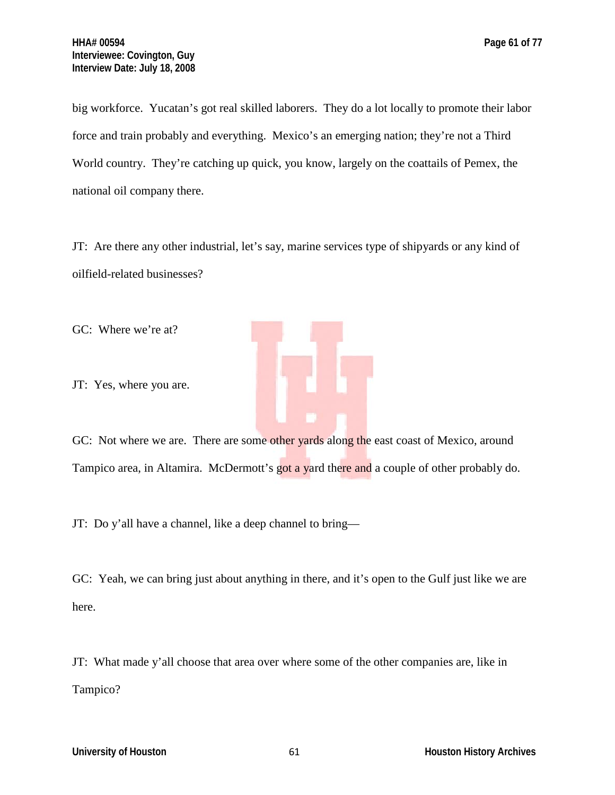big workforce. Yucatan's got real skilled laborers. They do a lot locally to promote their labor force and train probably and everything. Mexico's an emerging nation; they're not a Third World country. They're catching up quick, you know, largely on the coattails of Pemex, the national oil company there.

JT: Are there any other industrial, let's say, marine services type of shipyards or any kind of oilfield-related businesses?

GC: Where we're at?

JT: Yes, where you are.



GC: Not where we are. There are some other yards along the east coast of Mexico, around Tampico area, in Altamira. McDermott's got a yard there and a couple of other probably do.

JT: Do y'all have a channel, like a deep channel to bring—

GC: Yeah, we can bring just about anything in there, and it's open to the Gulf just like we are here.

JT: What made y'all choose that area over where some of the other companies are, like in Tampico?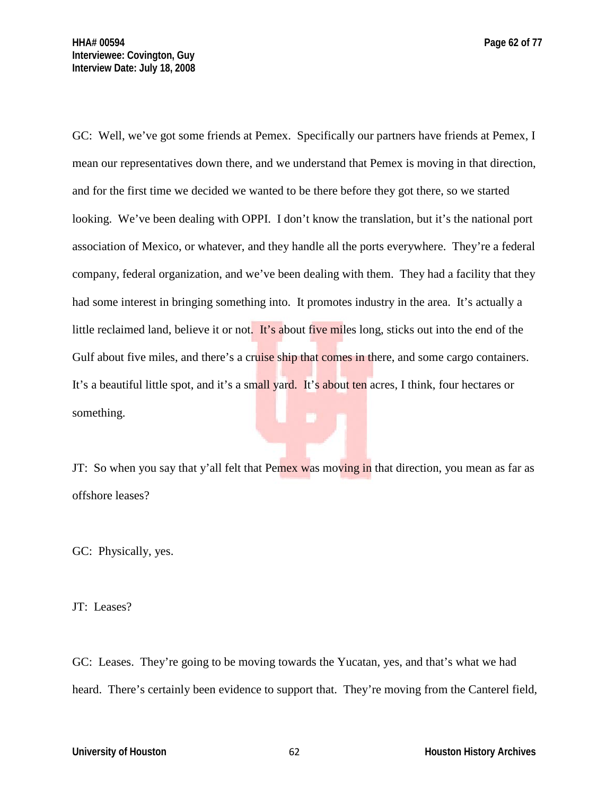GC: Well, we've got some friends at Pemex. Specifically our partners have friends at Pemex, I mean our representatives down there, and we understand that Pemex is moving in that direction, and for the first time we decided we wanted to be there before they got there, so we started looking. We've been dealing with OPPI. I don't know the translation, but it's the national port association of Mexico, or whatever, and they handle all the ports everywhere. They're a federal company, federal organization, and we've been dealing with them. They had a facility that they had some interest in bringing something into. It promotes industry in the area. It's actually a little reclaimed land, believe it or not. It's about five miles long, sticks out into the end of the Gulf about five miles, and there's a cruise ship that comes in there, and some cargo containers. It's a beautiful little spot, and it's a small yard. It's about ten acres, I think, four hectares or something.

JT: So when you say that y'all felt that Pemex was moving in that direction, you mean as far as offshore leases?

GC: Physically, yes.

JT: Leases?

GC: Leases. They're going to be moving towards the Yucatan, yes, and that's what we had heard. There's certainly been evidence to support that. They're moving from the Canterel field,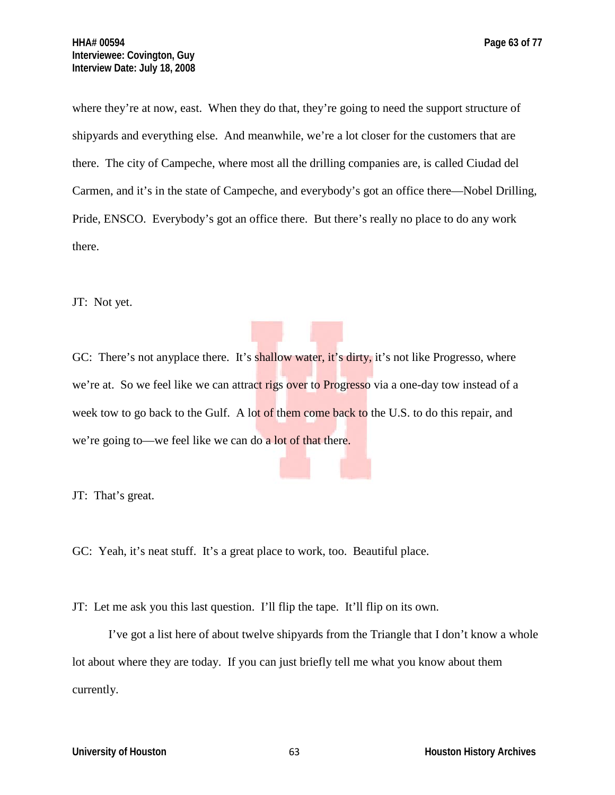where they're at now, east. When they do that, they're going to need the support structure of shipyards and everything else. And meanwhile, we're a lot closer for the customers that are

there. The city of Campeche, where most all the drilling companies are, is called Ciudad del Carmen, and it's in the state of Campeche, and everybody's got an office there—Nobel Drilling, Pride, ENSCO. Everybody's got an office there. But there's really no place to do any work there.

JT: Not yet.

GC: There's not any place there. It's shallow water, it's dirty, it's not like Progresso, where we're at. So we feel like we can attract rigs over to Progresso via a one-day tow instead of a week tow to go back to the Gulf. A lot of them come back to the U.S. to do this repair, and we're going to—we feel like we can do a lot of that there.

JT: That's great.

GC: Yeah, it's neat stuff. It's a great place to work, too. Beautiful place.

JT: Let me ask you this last question. I'll flip the tape. It'll flip on its own.

I've got a list here of about twelve shipyards from the Triangle that I don't know a whole lot about where they are today. If you can just briefly tell me what you know about them currently.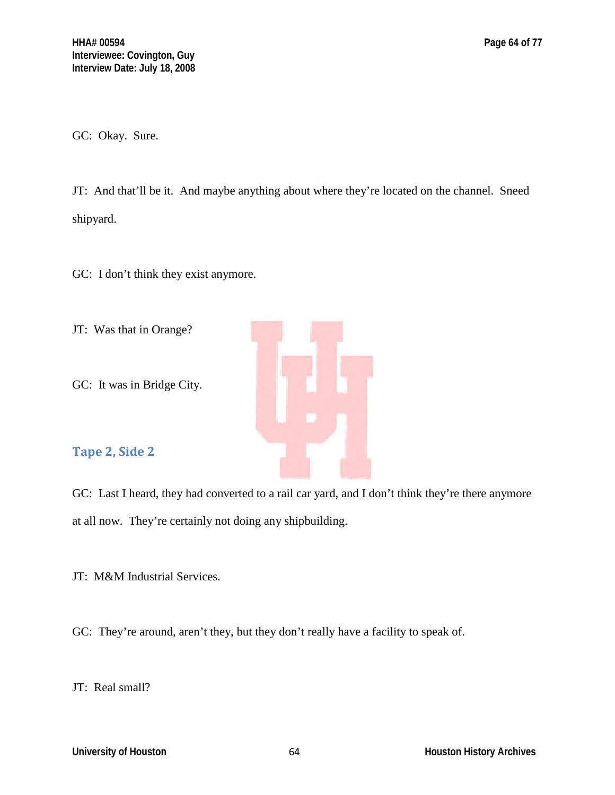GC: Okay. Sure.

JT: And that'll be it. And maybe anything about where they're located on the channel. Sneed shipyard.

GC: I don't think they exist anymore.

- JT: Was that in Orange?
- GC: It was in Bridge City.

# **Tape 2, Side 2**

GC: Last I heard, they had converted to a rail car yard, and I don't think they're there anymore at all now. They're certainly not doing any shipbuilding.

JT: M&M Industrial Services.

GC: They're around, aren't they, but they don't really have a facility to speak of.

JT: Real small?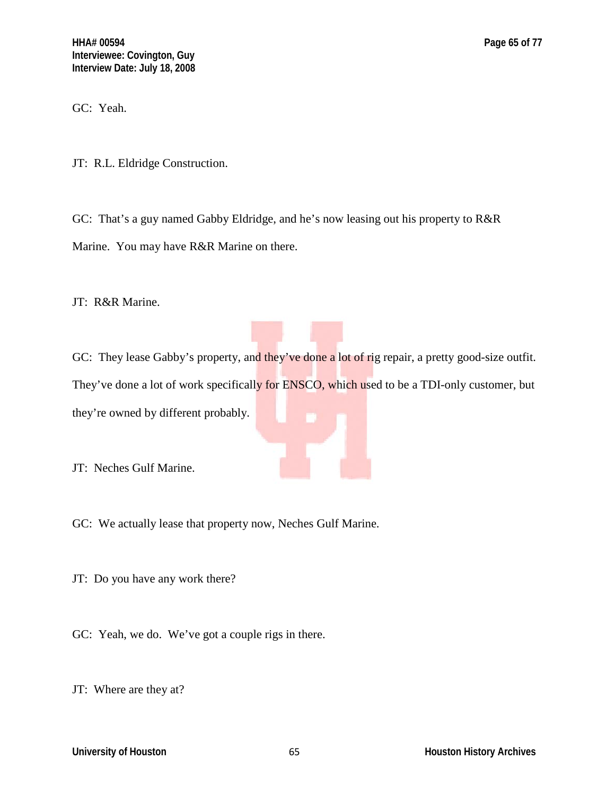GC: Yeah.

JT: R.L. Eldridge Construction.

GC: That's a guy named Gabby Eldridge, and he's now leasing out his property to R&R Marine. You may have R&R Marine on there.

JT: R&R Marine.

GC: They lease Gabby's property, and they've done a lot of rig repair, a pretty good-size outfit. They've done a lot of work specifically for ENSCO, which used to be a TDI-only customer, but they're owned by different probably.

JT: Neches Gulf Marine.

GC: We actually lease that property now, Neches Gulf Marine.

JT: Do you have any work there?

GC: Yeah, we do. We've got a couple rigs in there.

JT: Where are they at?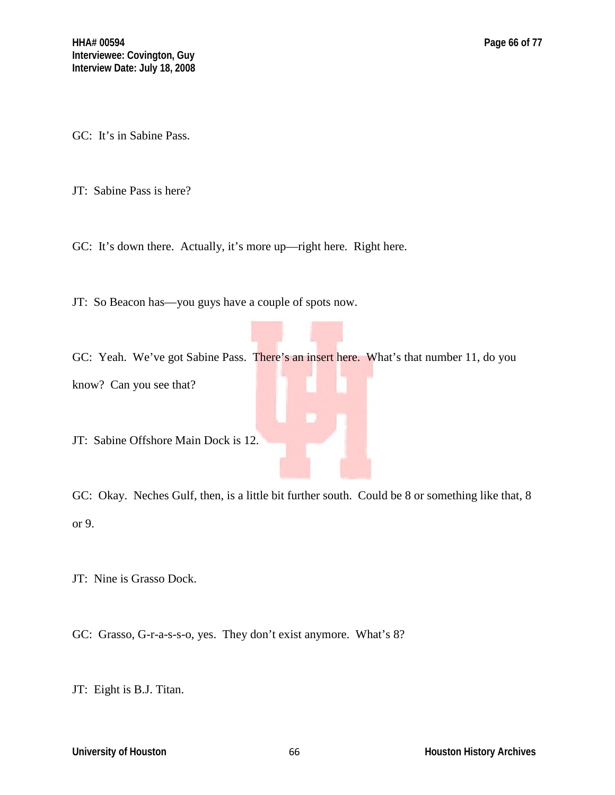GC: It's in Sabine Pass.

JT: Sabine Pass is here?

GC: It's down there. Actually, it's more up—right here. Right here.

JT: So Beacon has—you guys have a couple of spots now.

GC: Yeah. We've got Sabine Pass. There's an insert here. What's that number 11, do you know? Can you see that?

JT: Sabine Offshore Main Dock is 12.

GC: Okay. Neches Gulf, then, is a little bit further south. Could be 8 or something like that, 8 or 9.

JT: Nine is Grasso Dock.

GC: Grasso, G-r-a-s-s-o, yes. They don't exist anymore. What's 8?

JT: Eight is B.J. Titan.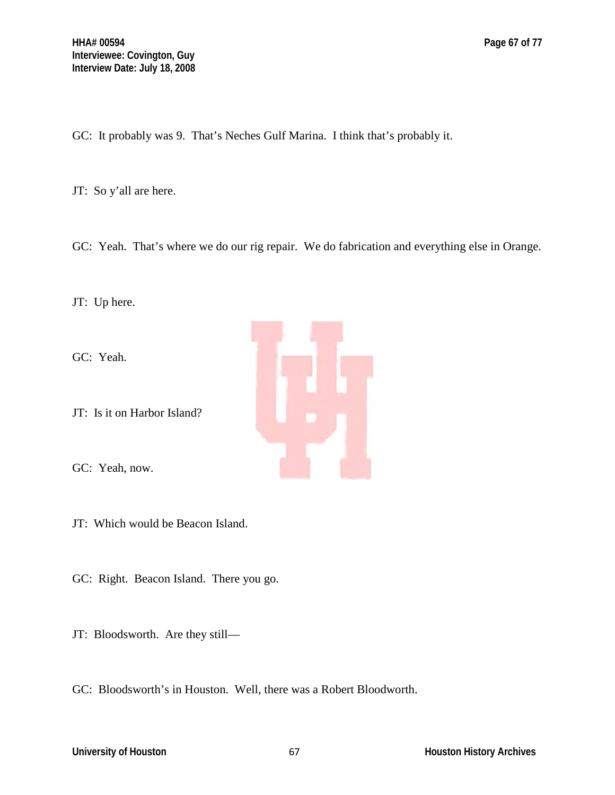GC: It probably was 9. That's Neches Gulf Marina. I think that's probably it.

JT: So y'all are here.

GC: Yeah. That's where we do our rig repair. We do fabrication and everything else in Orange.

JT: Up here.

GC: Yeah.

JT: Is it on Harbor Island?

GC: Yeah, now.

JT: Which would be Beacon Island.

GC: Right. Beacon Island. There you go.

JT: Bloodsworth. Are they still—

GC: Bloodsworth's in Houston. Well, there was a Robert Bloodworth.

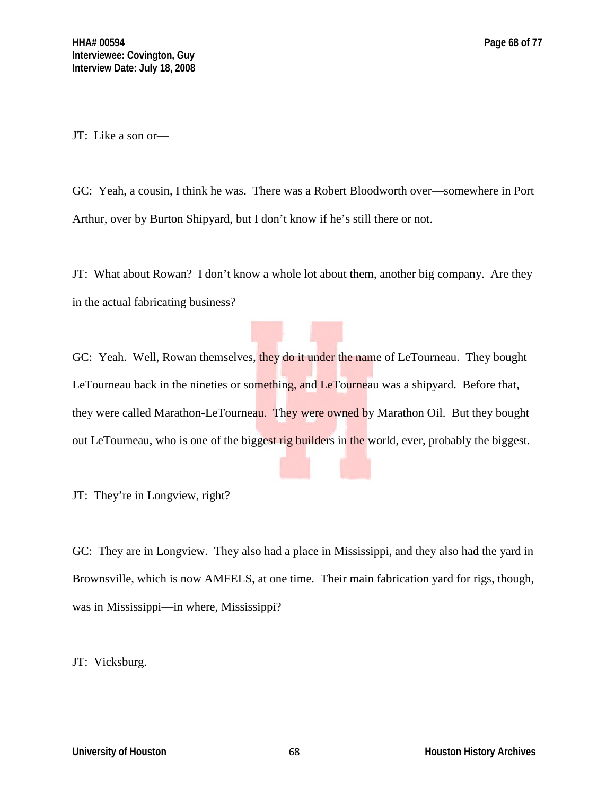JT: Like a son or—

GC: Yeah, a cousin, I think he was. There was a Robert Bloodworth over—somewhere in Port Arthur, over by Burton Shipyard, but I don't know if he's still there or not.

JT: What about Rowan? I don't know a whole lot about them, another big company. Are they in the actual fabricating business?

GC: Yeah. Well, Rowan themselves, they do it under the name of LeTourneau. They bought LeTourneau back in the nineties or something, and LeTourneau was a shipyard. Before that, they were called Marathon-LeTourneau. They were owned by Marathon Oil. But they bought out LeTourneau, who is one of the biggest rig builders in the world, ever, probably the biggest.

JT: They're in Longview, right?

GC: They are in Longview. They also had a place in Mississippi, and they also had the yard in Brownsville, which is now AMFELS, at one time. Their main fabrication yard for rigs, though, was in Mississippi—in where, Mississippi?

# JT: Vicksburg.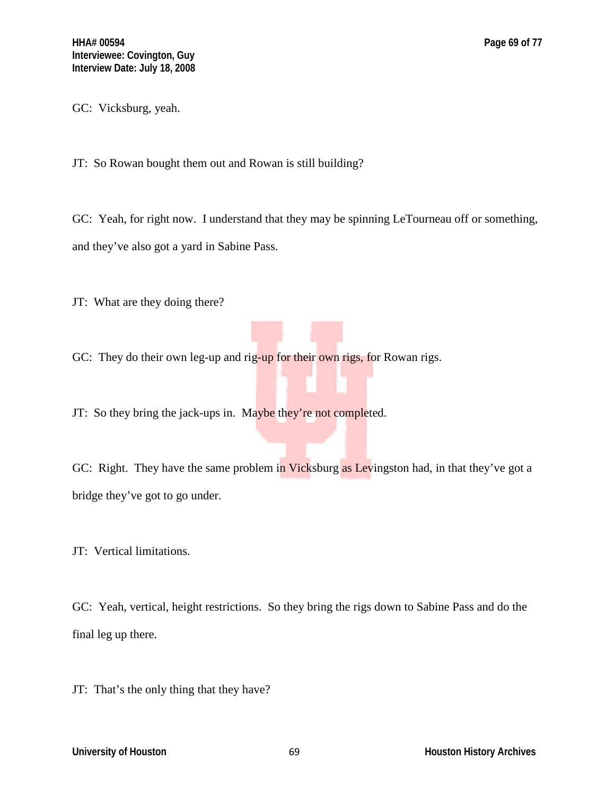GC: Vicksburg, yeah.

JT: So Rowan bought them out and Rowan is still building?

GC: Yeah, for right now. I understand that they may be spinning LeTourneau off or something, and they've also got a yard in Sabine Pass.

JT: What are they doing there?

GC: They do their own leg-up and rig-up for their own rigs, for Rowan rigs.

JT: So they bring the jack-ups in. Maybe they're not completed.

GC: Right. They have the same problem in Vicksburg as Levingston had, in that they've got a bridge they've got to go under.

JT: Vertical limitations.

GC: Yeah, vertical, height restrictions. So they bring the rigs down to Sabine Pass and do the final leg up there.

JT: That's the only thing that they have?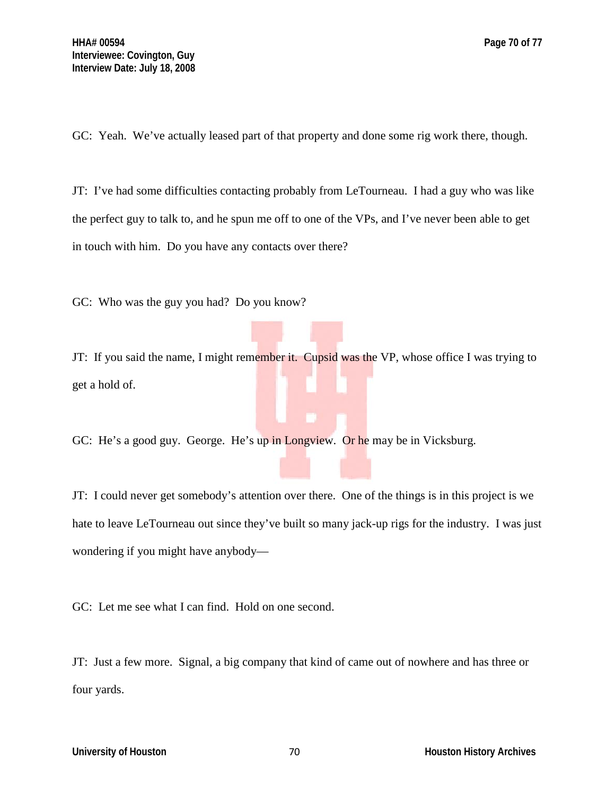GC: Yeah. We've actually leased part of that property and done some rig work there, though.

JT: I've had some difficulties contacting probably from LeTourneau. I had a guy who was like the perfect guy to talk to, and he spun me off to one of the VPs, and I've never been able to get in touch with him. Do you have any contacts over there?

GC: Who was the guy you had? Do you know?

JT: If you said the name, I might remember it. Cupsid was the VP, whose office I was trying to get a hold of.

GC: He's a good guy. George. He's up in Longview. Or he may be in Vicksburg.

JT: I could never get somebody's attention over there. One of the things is in this project is we hate to leave LeTourneau out since they've built so many jack-up rigs for the industry. I was just wondering if you might have anybody—

GC: Let me see what I can find. Hold on one second.

JT: Just a few more. Signal, a big company that kind of came out of nowhere and has three or four yards.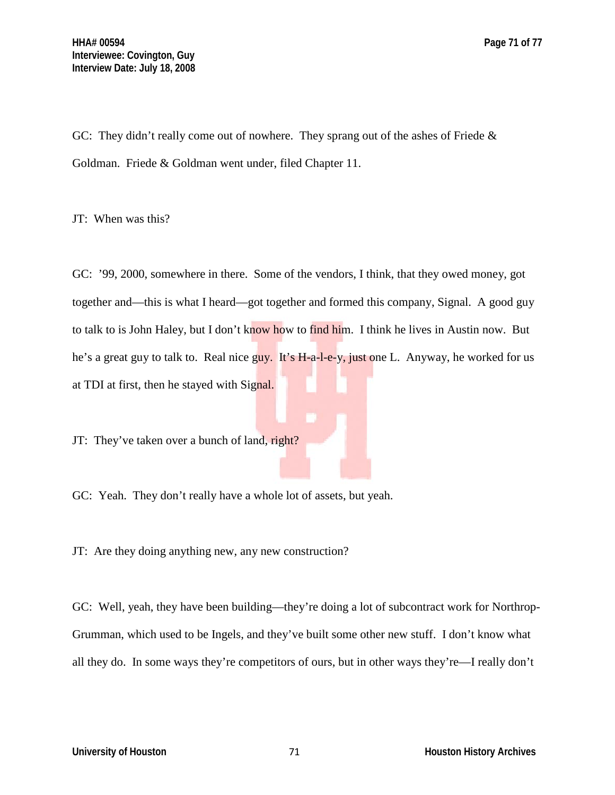GC: They didn't really come out of nowhere. They sprang out of the ashes of Friede & Goldman. Friede & Goldman went under, filed Chapter 11.

JT: When was this?

GC: '99, 2000, somewhere in there. Some of the vendors, I think, that they owed money, got together and—this is what I heard—got together and formed this company, Signal. A good guy to talk to is John Haley, but I don't know how to find him. I think he lives in Austin now. But he's a great guy to talk to. Real nice guy. It's H-a-l-e-y, just one L. Anyway, he worked for us at TDI at first, then he stayed with Signal.

JT: They've taken over a bunch of land, right?

GC: Yeah. They don't really have a whole lot of assets, but yeah.

JT: Are they doing anything new, any new construction?

GC: Well, yeah, they have been building—they're doing a lot of subcontract work for Northrop-Grumman, which used to be Ingels, and they've built some other new stuff. I don't know what all they do. In some ways they're competitors of ours, but in other ways they're—I really don't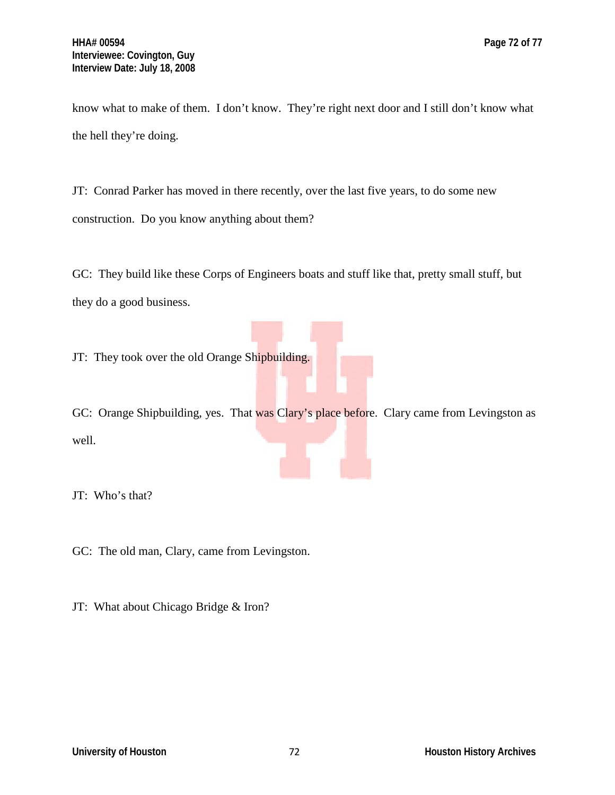know what to make of them. I don't know. They're right next door and I still don't know what the hell they're doing.

JT: Conrad Parker has moved in there recently, over the last five years, to do some new construction. Do you know anything about them?

GC: They build like these Corps of Engineers boats and stuff like that, pretty small stuff, but they do a good business.

JT: They took over the old Orange Shipbuilding.

GC: Orange Shipbuilding, yes. That was Clary's place before. Clary came from Levingston as well.

JT: Who's that?

GC: The old man, Clary, came from Levingston.

JT: What about Chicago Bridge & Iron?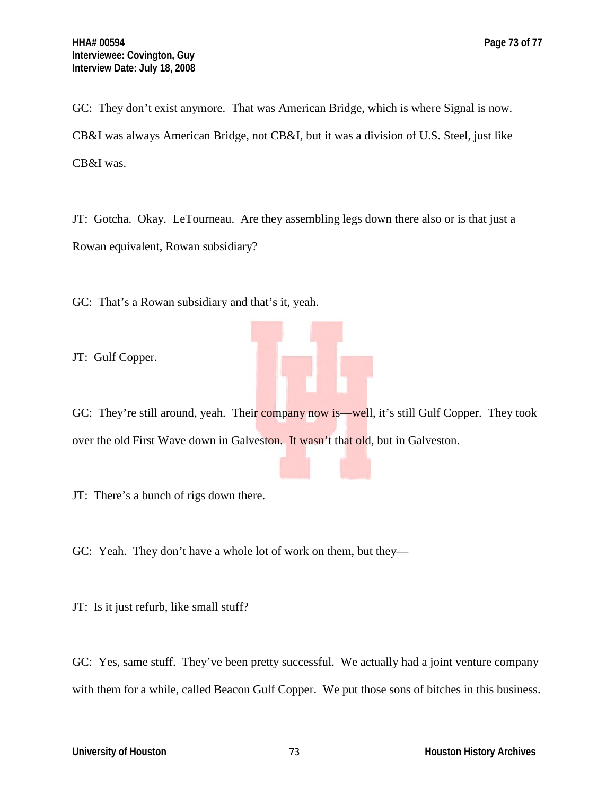GC: They don't exist anymore. That was American Bridge, which is where Signal is now. CB&I was always American Bridge, not CB&I, but it was a division of U.S. Steel, just like CB&I was.

JT: Gotcha. Okay. LeTourneau. Are they assembling legs down there also or is that just a Rowan equivalent, Rowan subsidiary?

GC: That's a Rowan subsidiary and that's it, yeah.

JT: Gulf Copper.



JT: There's a bunch of rigs down there.

GC: Yeah. They don't have a whole lot of work on them, but they—

JT: Is it just refurb, like small stuff?

GC: Yes, same stuff. They've been pretty successful. We actually had a joint venture company with them for a while, called Beacon Gulf Copper. We put those sons of bitches in this business.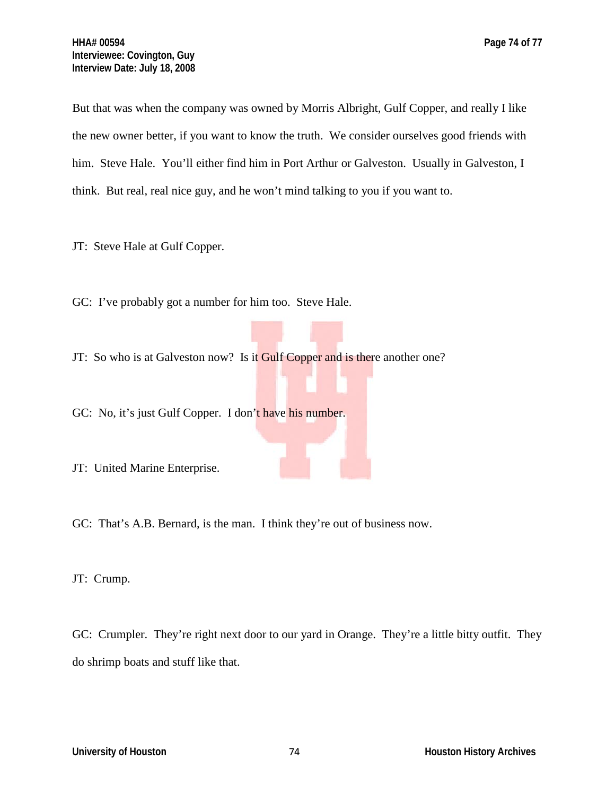But that was when the company was owned by Morris Albright, Gulf Copper, and really I like the new owner better, if you want to know the truth. We consider ourselves good friends with him. Steve Hale. You'll either find him in Port Arthur or Galveston. Usually in Galveston, I think. But real, real nice guy, and he won't mind talking to you if you want to.

JT: Steve Hale at Gulf Copper.

GC: I've probably got a number for him too. Steve Hale.

JT: So who is at Galveston now? Is it Gulf Copper and is there another one?

GC: No, it's just Gulf Copper. I don't have his number.

JT: United Marine Enterprise.

GC: That's A.B. Bernard, is the man. I think they're out of business now.

JT: Crump.

GC: Crumpler. They're right next door to our yard in Orange. They're a little bitty outfit. They do shrimp boats and stuff like that.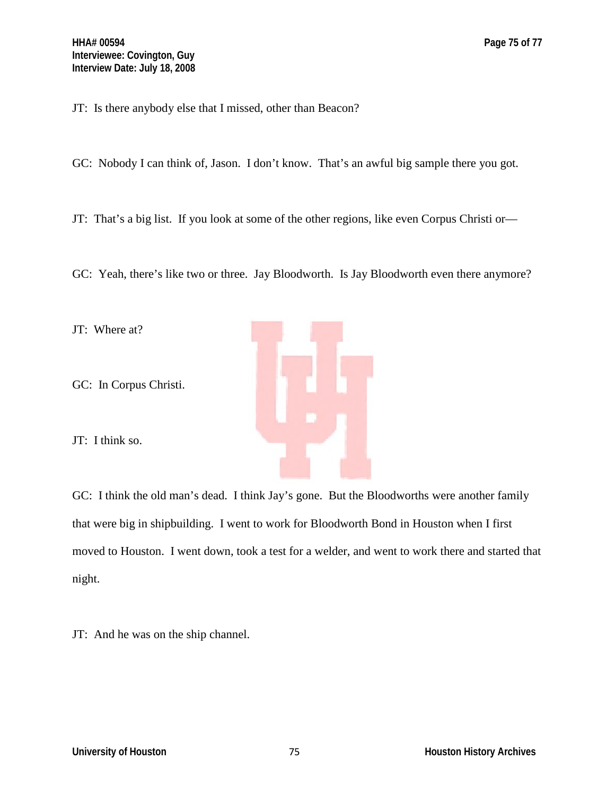JT: Is there anybody else that I missed, other than Beacon?

GC: Nobody I can think of, Jason. I don't know. That's an awful big sample there you got.

JT: That's a big list. If you look at some of the other regions, like even Corpus Christi or—

GC: Yeah, there's like two or three. Jay Bloodworth. Is Jay Bloodworth even there anymore?



GC: I think the old man's dead. I think Jay's gone. But the Bloodworths were another family that were big in shipbuilding. I went to work for Bloodworth Bond in Houston when I first moved to Houston. I went down, took a test for a welder, and went to work there and started that night.

JT: And he was on the ship channel.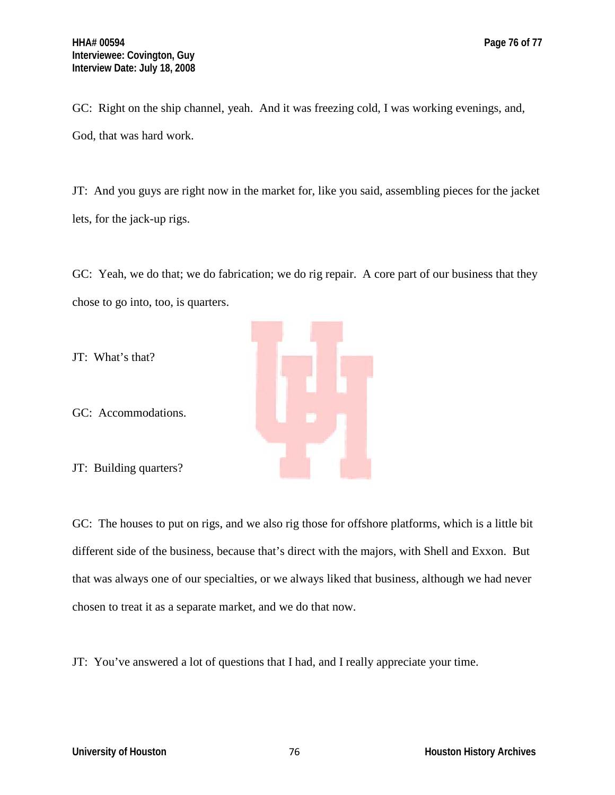JT: And you guys are right now in the market for, like you said, assembling pieces for the jacket lets, for the jack-up rigs.

GC: Yeah, we do that; we do fabrication; we do rig repair. A core part of our business that they chose to go into, too, is quarters.



GC: The houses to put on rigs, and we also rig those for offshore platforms, which is a little bit different side of the business, because that's direct with the majors, with Shell and Exxon. But that was always one of our specialties, or we always liked that business, although we had never chosen to treat it as a separate market, and we do that now.

JT: You've answered a lot of questions that I had, and I really appreciate your time.